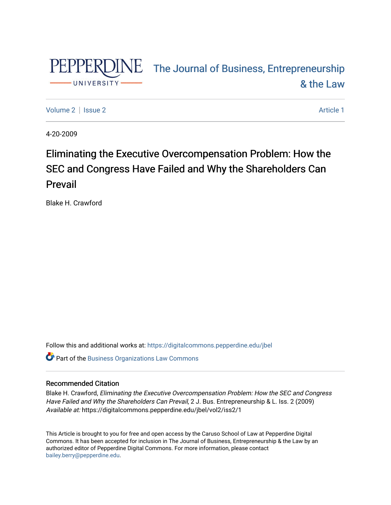

# PEPPERDINE The Journal of Business, Entrepreneurship [& the Law](https://digitalcommons.pepperdine.edu/jbel)

[Volume 2](https://digitalcommons.pepperdine.edu/jbel/vol2) | [Issue 2](https://digitalcommons.pepperdine.edu/jbel/vol2/iss2) Article 1

4-20-2009

# Eliminating the Executive Overcompensation Problem: How the SEC and Congress Have Failed and Why the Shareholders Can Prevail

Blake H. Crawford

Follow this and additional works at: [https://digitalcommons.pepperdine.edu/jbel](https://digitalcommons.pepperdine.edu/jbel?utm_source=digitalcommons.pepperdine.edu%2Fjbel%2Fvol2%2Fiss2%2F1&utm_medium=PDF&utm_campaign=PDFCoverPages) 

Part of the [Business Organizations Law Commons](http://network.bepress.com/hgg/discipline/900?utm_source=digitalcommons.pepperdine.edu%2Fjbel%2Fvol2%2Fiss2%2F1&utm_medium=PDF&utm_campaign=PDFCoverPages)

# Recommended Citation

Blake H. Crawford, Eliminating the Executive Overcompensation Problem: How the SEC and Congress Have Failed and Why the Shareholders Can Prevail, 2 J. Bus. Entrepreneurship & L. Iss. 2 (2009) Available at: https://digitalcommons.pepperdine.edu/jbel/vol2/iss2/1

This Article is brought to you for free and open access by the Caruso School of Law at Pepperdine Digital Commons. It has been accepted for inclusion in The Journal of Business, Entrepreneurship & the Law by an authorized editor of Pepperdine Digital Commons. For more information, please contact [bailey.berry@pepperdine.edu](mailto:bailey.berry@pepperdine.edu).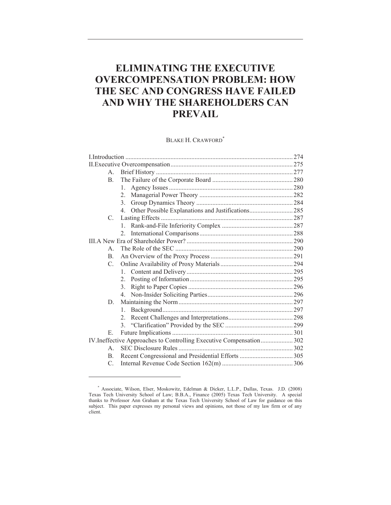# **ELIMINATING THE EXECUTIVE OVERCOMPENSATION PROBLEM: HOW THE SEC AND CONGRESS HAVE FAILED AND WHY THE SHAREHOLDERS CAN PREVAIL**

# BLAKE H. CRAWFORD<sup>\*</sup>

| A.                                                                 |                      |  |
|--------------------------------------------------------------------|----------------------|--|
| B.                                                                 |                      |  |
|                                                                    | $\mathbf{1}_{\cdot}$ |  |
|                                                                    | $\overline{2}$ .     |  |
|                                                                    | 3.                   |  |
|                                                                    | 4.                   |  |
| $C_{-}$                                                            |                      |  |
|                                                                    | $\mathbf{1}$         |  |
|                                                                    | 2.                   |  |
|                                                                    |                      |  |
| $\mathsf{A}$                                                       |                      |  |
| $B_{\cdot}$                                                        |                      |  |
| $\mathcal{C}^-$                                                    |                      |  |
|                                                                    | $\mathbf{1}$         |  |
|                                                                    | $\overline{2}$ .     |  |
|                                                                    | 3.                   |  |
|                                                                    | 4.                   |  |
| D.                                                                 |                      |  |
|                                                                    | $\mathbf{1}_{\cdot}$ |  |
|                                                                    | 2.                   |  |
|                                                                    |                      |  |
| E.                                                                 |                      |  |
| IV.Ineffective Approaches to Controlling Executive Compensation302 |                      |  |
| $\mathsf{A}$ .                                                     |                      |  |
| B.                                                                 |                      |  |
| $\mathcal{C}$ .                                                    |                      |  |

<sup>\*</sup> Associate, Wilson, Elser, Moskowitz, Edelman & Dicker, L.L.P., Dallas, Texas. J.D. (2008) Texas Tech University School of Law; B.B.A., Finance (2005) Texas Tech University. A special thanks to Professor Ann Graham at the Texas Tech University School of Law for guidance on this subject. This paper expresses my personal views and opinions, not those of my law firm or of any client.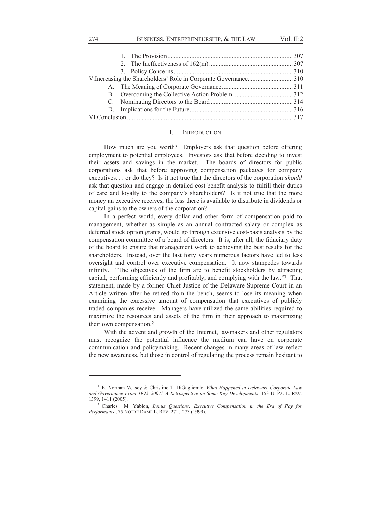274 BUSINESS, ENTREPRENEURSHIP, & THE LAW Vol. II:2

#### I. INTRODUCTION

How much are you worth? Employers ask that question before offering employment to potential employees. Investors ask that before deciding to invest their assets and savings in the market. The boards of directors for public corporations ask that before approving compensation packages for company executives. . . or do they? Is it not true that the directors of the corporation *should* ask that question and engage in detailed cost benefit analysis to fulfill their duties of care and loyalty to the company's shareholders? Is it not true that the more money an executive receives, the less there is available to distribute in dividends or capital gains to the owners of the corporation?

In a perfect world, every dollar and other form of compensation paid to management, whether as simple as an annual contracted salary or complex as deferred stock option grants, would go through extensive cost-basis analysis by the compensation committee of a board of directors. It is, after all, the fiduciary duty of the board to ensure that management work to achieving the best results for the shareholders. Instead, over the last forty years numerous factors have led to less oversight and control over executive compensation. It now stampedes towards infinity. "The objectives of the firm are to benefit stockholders by attracting capital, performing efficiently and profitably, and complying with the law."1 That statement, made by a former Chief Justice of the Delaware Supreme Court in an Article written after he retired from the bench, seems to lose its meaning when examining the excessive amount of compensation that executives of publicly traded companies receive. Managers have utilized the same abilities required to maximize the resources and assets of the firm in their approach to maximizing their own compensation.<sup>2</sup>

With the advent and growth of the Internet, lawmakers and other regulators must recognize the potential influence the medium can have on corporate communication and policymaking. Recent changes in many areas of law reflect the new awareness, but those in control of regulating the process remain hesitant to

<sup>1</sup> E. Norman Veasey & Christine T. DiGugliemlo, *What Happened in Delaware Corporate Law and Governance From 1992–2004? A Retrospective on Some Key Developments*, 153 U. PA. L. REV. 1399, 1411 (2005).

<sup>2</sup> Charles M. Yablon, *Bonus Questions: Executive Compensation in the Era of Pay for Performance*, 75 NOTRE DAME L. REV. 271, 273 (1999).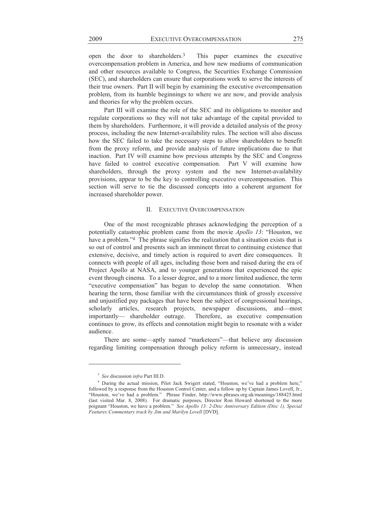open the door to shareholders.3 This paper examines the executive overcompensation problem in America, and how new mediums of communication and other resources available to Congress, the Securities Exchange Commission (SEC), and shareholders can ensure that corporations work to serve the interests of their true owners. Part II will begin by examining the executive overcompensation problem, from its humble beginnings to where we are now, and provide analysis and theories for why the problem occurs.

Part III will examine the role of the SEC and its obligations to monitor and regulate corporations so they will not take advantage of the capital provided to them by shareholders. Furthermore, it will provide a detailed analysis of the proxy process, including the new Internet-availability rules. The section will also discuss how the SEC failed to take the necessary steps to allow shareholders to benefit from the proxy reform, and provide analysis of future implications due to that inaction. Part IV will examine how previous attempts by the SEC and Congress have failed to control executive compensation. Part V will examine how shareholders, through the proxy system and the new Internet-availability provisions, appear to be the key to controlling executive overcompensation. This section will serve to tie the discussed concepts into a coherent argument for increased shareholder power.

#### II. EXECUTIVE OVERCOMPENSATION

One of the most recognizable phrases acknowledging the perception of a potentially catastrophic problem came from the movie *Apollo 13*: "Houston, we have a problem."<sup>4</sup> The phrase signifies the realization that a situation exists that is so out of control and presents such an imminent threat to continuing existence that extensive, decisive, and timely action is required to avert dire consequences. It connects with people of all ages, including those born and raised during the era of Project Apollo at NASA, and to younger generations that experienced the epic event through cinema. To a lesser degree, and to a more limited audience, the term "executive compensation" has begun to develop the same connotation. When hearing the term, those familiar with the circumstances think of grossly excessive and unjustified pay packages that have been the subject of congressional hearings, scholarly articles, research projects, newspaper discussions, and—most importantly— shareholder outrage. Therefore, as executive compensation continues to grow, its effects and connotation might begin to resonate with a wider audience.

There are some—aptly named "marketeers"—that believe any discussion regarding limiting compensation through policy reform is unnecessary, instead

<sup>3</sup> *See* discussion *infra* Part III.D.

<sup>4</sup> During the actual mission, Pilot Jack Swigert stated, "Houston, we've had a problem here," followed by a response from the Houston Control Center, and a follow up by Captain James Lovell, Jr., "Houston, we've had a problem." Phrase Finder, http://www.phrases.org.uk/meanings/188425.html (last visited Mar. 8, 2008). For dramatic purposes, Director Ron Howard shortened to the more poignant "Houston, we have a problem." *See Apollo 13: 2-Disc Anniversary Edition (Disc 1), Special Features:Commentary track by Jim and Marilyn Lovell* [DVD].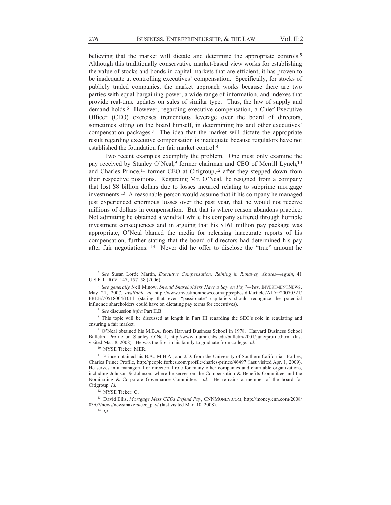believing that the market will dictate and determine the appropriate controls.<sup>5</sup> Although this traditionally conservative market-based view works for establishing the value of stocks and bonds in capital markets that are efficient, it has proven to be inadequate at controlling executives' compensation. Specifically, for stocks of publicly traded companies, the market approach works because there are two parties with equal bargaining power, a wide range of information, and indexes that provide real-time updates on sales of similar type. Thus, the law of supply and demand holds.6 However, regarding executive compensation, a Chief Executive Officer (CEO) exercises tremendous leverage over the board of directors, sometimes sitting on the board himself, in determining his and other executives' compensation packages.7 The idea that the market will dictate the appropriate result regarding executive compensation is inadequate because regulators have not established the foundation for fair market control.<sup>8</sup>

Two recent examples exemplify the problem. One must only examine the pay received by Stanley O'Neal,<sup>9</sup> former chairman and CEO of Merrill Lynch,<sup>10</sup> and Charles Prince,<sup>11</sup> former CEO at Citigroup,<sup>12</sup> after they stepped down from their respective positions. Regarding Mr. O'Neal, he resigned from a company that lost \$8 billion dollars due to losses incurred relating to subprime mortgage investments.13 A reasonable person would assume that if his company he managed just experienced enormous losses over the past year, that he would not receive millions of dollars in compensation. But that is where reason abandons practice. Not admitting he obtained a windfall while his company suffered through horrible investment consequences and in arguing that his \$161 million pay package was appropriate, O'Neal blamed the media for releasing inaccurate reports of his compensation, further stating that the board of directors had determined his pay after fair negotiations. <sup>14</sup> Never did he offer to disclose the "true" amount he

<sup>9</sup> O'Neal obtained his M.B.A. from Harvard Business School in 1978. Harvard Business School Bulletin, Profile on Stanley O'Neal, http://www.alumni.hbs.edu/bulletin/2001/june/profile.html (last visited Mar. 8, 2008). He was the first in his family to graduate from college. *Id.* 

<sup>10</sup> NYSE Ticker: MER.

<sup>12</sup> NYSE Ticker: C.

<sup>13</sup> David Ellis, *Mortgage Mess CEOs Defend Pay*, CNNMONEY.COM, http://money.cnn.com/2008/ 03/07/news/newsmakers/ceo\_pay/ (last visited Mar. 10, 2008).

<sup>14</sup> *Id.*

<sup>5</sup> *See* Susan Lorde Martin, *Executive Compensation: Reining in Runaway Abuses—Again*, 41 U.S.F. L. REV. 147, 157–58 (2006).

<sup>6</sup> *See generally* Nell Minow, *Should Shareholders Have a Say on Pay?—Yes*, INVESTMENTNEWS, May 21, 2007, *available at* http://www.investmentnews.com/apps/pbcs.dll/article?AID=/20070521/ FREE/70518004/1011 (stating that even "passionate" capitalists should recognize the potential influence shareholders could have on dictating pay terms for executives).

<sup>7</sup> *See* discussion *infra* Part II.B.

<sup>8</sup> This topic will be discussed at length in Part III regarding the SEC's role in regulating and ensuring a fair market.

<sup>&</sup>lt;sup>11</sup> Prince obtained his B.A., M.B.A., and J.D. from the University of Southern California. Forbes, Charles Prince Profile, http://people.forbes.com/profile/charles-prince/46497 (last visited Apr. 1, 2009). He serves in a managerial or directorial role for many other companies and charitable organizations, including Johnson  $\&$  Johnson, where he serves on the Compensation  $\&$  Benefits Committee and the Nominating & Corporate Governance Committee. *Id.* He remains a member of the board for Citigroup. *Id.*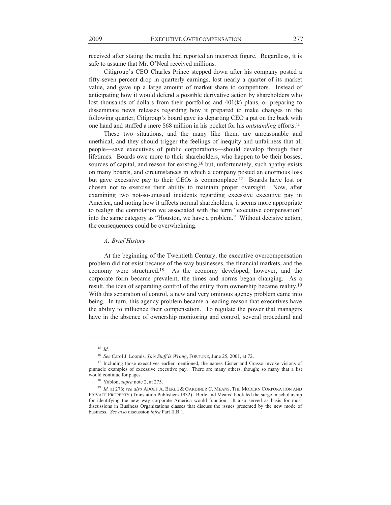received after stating the media had reported an incorrect figure. Regardless, it is safe to assume that Mr. O'Neal received millions.

Citigroup's CEO Charles Prince stepped down after his company posted a fifty-seven percent drop in quarterly earnings, lost nearly a quarter of its market value, and gave up a large amount of market share to competitors. Instead of anticipating how it would defend a possible derivative action by shareholders who lost thousands of dollars from their portfolios and  $401(k)$  plans, or preparing to disseminate news releases regarding how it prepared to make changes in the following quarter, Citigroup's board gave its departing CEO a pat on the back with one hand and stuffed a mere \$68 million in his pocket for his *outstanding* efforts.<sup>15</sup>

These two situations, and the many like them, are unreasonable and unethical, and they should trigger the feelings of inequity and unfairness that all people—save executives of public corporations—should develop through their lifetimes. Boards owe more to their shareholders, who happen to be their bosses, sources of capital, and reason for existing,<sup>16</sup> but, unfortunately, such apathy exists on many boards, and circumstances in which a company posted an enormous loss but gave excessive pay to their CEOs is commonplace. <sup>17</sup> Boards have lost or chosen not to exercise their ability to maintain proper oversight. Now, after examining two not-so-unusual incidents regarding excessive executive pay in America, and noting how it affects normal shareholders, it seems more appropriate to realign the connotation we associated with the term "executive compensation" into the same category as "Houston, we have a problem." Without decisive action, the consequences could be overwhelming.

#### *A. Brief History*

At the beginning of the Twentieth Century, the executive overcompensation problem did not exist because of the way businesses, the financial markets, and the economy were structured.18 As the economy developed, however, and the corporate form became prevalent, the times and norms began changing. As a result, the idea of separating control of the entity from ownership became reality.<sup>19</sup> With this separation of control, a new and very ominous agency problem came into being. In turn, this agency problem became a leading reason that executives have the ability to influence their compensation. To regulate the power that managers have in the absence of ownership monitoring and control, several procedural and

<sup>15</sup> *Id.*

<sup>16</sup> *See* Carol J. Loomis, *This Stuff Is Wrong*, FORTUNE, June 25, 2001, at 72.

<sup>&</sup>lt;sup>17</sup> Including those executives earlier mentioned, the names Eisner and Grasso invoke visions of pinnacle examples of excessive executive pay. There are many others, though; so many that a list would continue for pages.

<sup>18</sup> Yablon, *supra* note 2, at 275.

<sup>19</sup> *Id.* at 276; *see also* ADOLF A. BERLE & GARDINER C. MEANS, THE MODERN CORPORATION AND PRIVATE PROPERTY (Translation Publishers 1932). Berle and Means' book led the surge in scholarship for identifying the new way corporate America would function. It also served as basis for most discussions in Business Organizations classes that discuss the issues presented by the new mode of business. *See also* discussion *infra* Part II.B.1.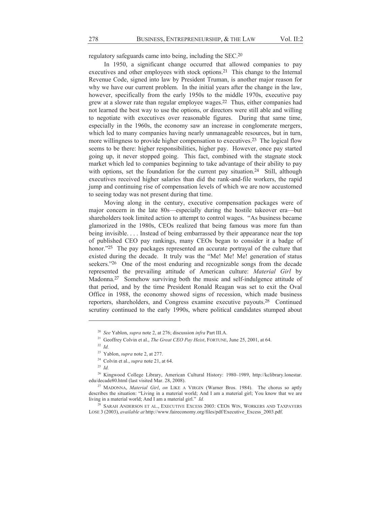regulatory safeguards came into being, including the SEC.<sup>20</sup>

In 1950, a significant change occurred that allowed companies to pay executives and other employees with stock options.<sup>21</sup> This change to the Internal Revenue Code, signed into law by President Truman, is another major reason for why we have our current problem. In the initial years after the change in the law, however, specifically from the early 1950s to the middle 1970s, executive pay grew at a slower rate than regular employee wages.22 Thus, either companies had not learned the best way to use the options, or directors were still able and willing to negotiate with executives over reasonable figures. During that same time, especially in the 1960s, the economy saw an increase in conglomerate mergers, which led to many companies having nearly unmanageable resources, but in turn, more willingness to provide higher compensation to executives.23 The logical flow seems to be there: higher responsibilities, higher pay. However, once pay started going up, it never stopped going. This fact, combined with the stagnate stock market which led to companies beginning to take advantage of their ability to pay with options, set the foundation for the current pay situation.<sup>24</sup> Still, although executives received higher salaries than did the rank-and-file workers, the rapid jump and continuing rise of compensation levels of which we are now accustomed to seeing today was not present during that time.

Moving along in the century, executive compensation packages were of major concern in the late 80s—especially during the hostile takeover era—but shareholders took limited action to attempt to control wages. "As business became glamorized in the 1980s, CEOs realized that being famous was more fun than being invisible. . . . Instead of being embarrassed by their appearance near the top of published CEO pay rankings, many CEOs began to consider it a badge of honor."<sup>25</sup> The pay packages represented an accurate portrayal of the culture that existed during the decade. It truly was the "Me! Me! Me! generation of status seekers."<sup>26</sup> One of the most enduring and recognizable songs from the decade represented the prevailing attitude of American culture: *Material Girl* by Madonna.27 Somehow surviving both the music and self-indulgence attitude of that period, and by the time President Ronald Reagan was set to exit the Oval Office in 1988, the economy showed signs of recession, which made business reporters, shareholders, and Congress examine executive payouts.28 Continued scrutiny continued to the early 1990s, where political candidates stumped about

<sup>20</sup> *See* Yablon, *supra* note 2, at 276; discussion *infra* Part III.A.

<sup>&</sup>lt;sup>21</sup> Geoffrey Colvin et al., *The Great CEO Pay Heist*, FORTUNE, June 25, 2001, at 64.

<sup>22</sup> *Id.* 

<sup>23</sup> Yablon, *supra* note 2, at 277.

<sup>24</sup> Colvin et al., *supra* note 21, at 64.

<sup>25</sup> *Id.*

<sup>26</sup> Kingwood College Library, American Cultural History: 1980–1989, http://kclibrary.lonestar. edu/decade80.html (last visited Mar. 28, 2008).

<sup>27</sup> MADONNA, *Material Girl*, *on* LIKE A VIRGIN (Warner Bros. 1984). The chorus so aptly describes the situation: "Living in a material world; And I am a material girl; You know that we are living in a material world; And I am a material girl." *Id.*

<sup>&</sup>lt;sup>28</sup> SARAH ANDERSON ET AL., EXECUTIVE EXCESS 2003: CEOS WIN, WORKERS AND TAXPAYERS LOSE 3 (2003), *available at* http://www.faireconomy.org/files/pdf/Executive\_Excess\_2003.pdf.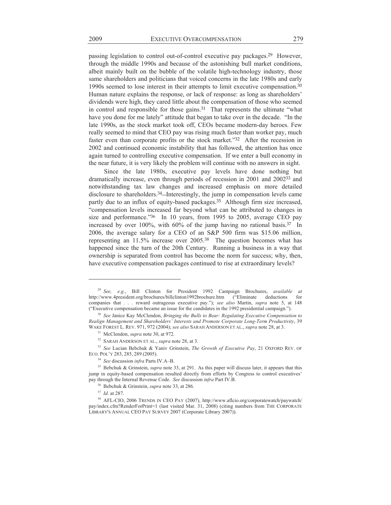passing legislation to control out-of-control executive pay packages.29 However, through the middle 1990s and because of the astonishing bull market conditions, albeit mainly built on the bubble of the volatile high-technology industry, those same shareholders and politicians that voiced concerns in the late 1980s and early 1990s seemed to lose interest in their attempts to limit executive compensation.<sup>30</sup> Human nature explains the response, or lack of response: as long as shareholders' dividends were high, they cared little about the compensation of those who seemed in control and responsible for those gains. $31$  That represents the ultimate "what have you done for me lately" attitude that began to take over in the decade. "In the late 1990s, as the stock market took off, CEOs became modern-day heroes. Few really seemed to mind that CEO pay was rising much faster than worker pay, much faster even than corporate profits or the stock market."32 After the recession in 2002 and continued economic instability that has followed, the attention has once again turned to controlling executive compensation. If we enter a bull economy in the near future, it is very likely the problem will continue with no answers in sight.

Since the late 1980s, executive pay levels have done nothing but dramatically increase, even through periods of recession in 2001 and 200233 and notwithstanding tax law changes and increased emphasis on more detailed disclosure to shareholders.<sup>34</sup>—Interestingly, the jump in compensation levels came partly due to an influx of equity-based packages.<sup>35</sup> Although firm size increased, "compensation levels increased far beyond what can be attributed to changes in size and performance."36 In 10 years, from 1995 to 2005, average CEO pay increased by over 100%, with  $60\%$  of the jump having no rational basis.<sup>37</sup> In 2006, the average salary for a CEO of an S&P 500 firm was \$15.06 million, representing an 11.5% increase over 2005.38 The question becomes what has happened since the turn of the 20th Century. Running a business in a way that ownership is separated from control has become the norm for success; why, then, have executive compensation packages continued to rise at extraordinary levels?

<sup>29</sup> *See, e.g.*, Bill Clinton for President 1992 Campaign Brochures, *available at* http://www.4president.org/brochures/billclinton1992brochure.htm ("Eliminate deductions for companies that . . . reward outrageous executive pay."); *see also* Martin, *supra* note 5, at 148 ("Executive compensation became an issue for the candidates in the 1992 presidential campaign.").

<sup>30</sup> *See* Janice Kay McClendon, *Bringing the Bulls to Bear: Regulating Executive Compensation to Realign Management and Shareholders' Interests and Promote Corporate Long-Term Productivity*, 39 WAKE FOREST L. REV. 971, 972 (2004); *see also* SARAH ANDERSON ET AL., *supra* note 28, at 3.

<sup>31</sup> McClendon, *supra* note 30, at 972.

<sup>32</sup> SARAH ANDERSON ET AL., *supra* note 28, at 3.

<sup>33</sup> *See* Lucian Bebchuk & Yaniv Grinstein, *The Growth of Executive Pay*, 21 OXFORD REV. OF ECO. POL'Y 283, 285, 289 (2005).

<sup>34</sup> *See* discussion *infra* Parts IV.A–B.

<sup>35</sup> Bebchuk & Grinstein, *supra* note 33, at 291. As this paper will discuss later, it appears that this jump in equity-based compensation resulted directly from efforts by Congress to control executives' pay through the Internal Revenue Code. *See* discussion *infra* Part IV.B.

<sup>36</sup> Bebchuk & Grinstein, *supra* note 33, at 286.

<sup>37</sup> *Id.* at 287.

<sup>38</sup> AFL-CIO, 2006 TRENDS IN CEO PAY (2007), http://www.aflcio.org/corporatewatch/paywatch/ pay/index.cfm?RenderForPrint=1 (last visited Mar. 31, 2008) (citing numbers from THE CORPORATE LIBRARY'S ANNUAL CEO PAY SURVEY 2007 (Corporate Library 2007)).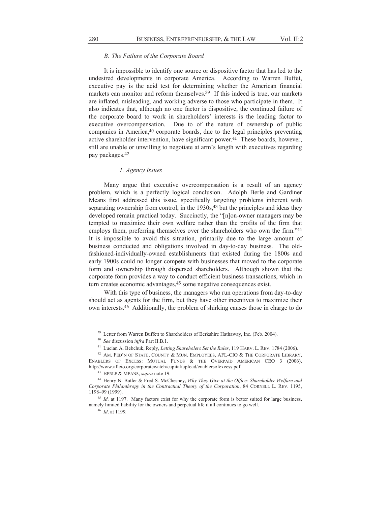# *B. The Failure of the Corporate Board*

It is impossible to identify one source or dispositive factor that has led to the undesired developments in corporate America. According to Warren Buffet, executive pay is the acid test for determining whether the American financial markets can monitor and reform themselves.<sup>39</sup> If this indeed is true, our markets are inflated, misleading, and working adverse to those who participate in them. It also indicates that, although no one factor is dispositive, the continued failure of the corporate board to work in shareholders' interests is the leading factor to executive overcompensation. Due to of the nature of ownership of public companies in America,40 corporate boards, due to the legal principles preventing active shareholder intervention, have significant power.41 These boards, however, still are unable or unwilling to negotiate at arm's length with executives regarding pay packages.<sup>42</sup>

#### *1. Agency Issues*

Many argue that executive overcompensation is a result of an agency problem, which is a perfectly logical conclusion. Adolph Berle and Gardiner Means first addressed this issue, specifically targeting problems inherent with separating ownership from control, in the 1930s,43 but the principles and ideas they developed remain practical today. Succinctly, the "[n]on-owner managers may be tempted to maximize their own welfare rather than the profits of the firm that employs them, preferring themselves over the shareholders who own the firm."<sup>44</sup> It is impossible to avoid this situation, primarily due to the large amount of business conducted and obligations involved in day-to-day business. The oldfashioned-individually-owned establishments that existed during the 1800s and early 1900s could no longer compete with businesses that moved to the corporate form and ownership through dispersed shareholders. Although shown that the corporate form provides a way to conduct efficient business transactions, which in turn creates economic advantages,45 some negative consequences exist.

With this type of business, the managers who run operations from day-to-day should act as agents for the firm, but they have other incentives to maximize their own interests.46 Additionally, the problem of shirking causes those in charge to do

<sup>&</sup>lt;sup>39</sup> Letter from Warren Buffett to Shareholders of Berkshire Hathaway, Inc. (Feb. 2004).

<sup>40</sup> *See* discussion *infra* Part II.B.1.

<sup>41</sup> Lucian A. Bebchuk, Reply, *Letting Shareholers Set the Rules*, 119 HARV. L. REV. 1784 (2006).

 $42$  AM. FED'N OF STATE, COUNTY & MUN. EMPLOYEES, AFL-CIO & THE CORPORATE LIBRARY, ENABLERS OF EXCESS: MUTUAL FUNDS & THE OVERPAID AMERICAN CEO 3 (2006), http://www.aflcio.org/corporatewatch/capital/upload/enablersofexcess.pdf.

<sup>43</sup> BERLE & MEANS, *supra* note 19.

<sup>44</sup> Henry N. Butler & Fred S. McChesney, *Why They Give at the Office: Shareholder Welfare and Corporate Philanthropy in the Contractual Theory of the Corporation*, 84 CORNELL L. REV. 1195, 1198–99 (1999).

<sup>&</sup>lt;sup>45</sup> *Id.* at 1197. Many factors exist for why the corporate form is better suited for large business, namely limited liability for the owners and perpetual life if all continues to go well.

<sup>46</sup> *Id*. at 1199*.*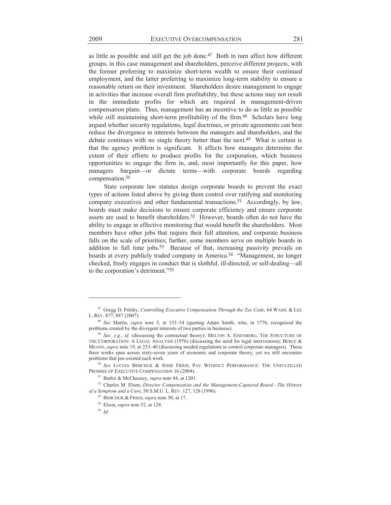as little as possible and still get the job done.<sup>47</sup> Both in turn affect how different groups, in this case management and shareholders, perceive different projects, with the former preferring to maximize short-term wealth to ensure their continued employment, and the latter preferring to maximize long-term stability to ensure a reasonable return on their investment. Shareholders desire management to engage in activities that increase overall firm profitability, but these actions may not result in the immediate profits for which are required in management-driven compensation plans. Thus, management has an incentive to do as little as possible while still maintaining short-term profitability of the firm.<sup>48</sup> Scholars have long argued whether security regulations, legal doctrines, or private agreements can best reduce the divergence in interests between the managers and shareholders, and the debate continues with no single theory better than the next.<sup>49</sup> What is certain is that the agency problem is significant. It affects how managers determine the extent of their efforts to produce profits for the corporation, which business opportunities to engage the firm in, and, most importantly for this paper, how managers bargain—or dictate terms—with corporate boards regarding compensation.<sup>50</sup>

State corporate law statutes design corporate boards to prevent the exact types of actions listed above by giving them control over ratifying and monitoring company executives and other fundamental transactions.51 Accordingly, by law, boards must make decisions to ensure corporate efficiency and ensure corporate assets are used to benefit shareholders.52 However, boards often do not have the ability to engage in effective monitoring that would benefit the shareholders. Most members have other jobs that require their full attention, and corporate business falls on the scale of priorities; further, some members serve on multiple boards in addition to full time jobs.<sup>53</sup> Because of that, increasing passivity prevails on boards at every publicly traded company in America.54 "Management, no longer checked, freely engages in conduct that is slothful, ill-directed, or self-dealing—all to the corporation's detriment."<sup>55</sup>

<sup>47</sup> Gregg D. Polsky, *Controlling Executive Compensation Through the Tax Code*, 64 WASH. & LEE L. REV. 877, 887 (2007).

<sup>48</sup> *See* Martin, *supra* note 5, at 153–54 (quoting Adam Smith, who, in 1776, recognized the problems created by the divergent interests of two parties in business).

<sup>49</sup> *See, e.g.*, *id.* (discussing the contractual theory); MELVIN A. EISENBERG, THE STRUCTURE OF THE CORPORATION: A LEGAL ANALYSIS (1976) (discussing the need for legal intervention); BERLE  $\&$ MEANS, *supra* note 19, at 233–40 (discussing needed regulations to control corporate managers). These three works span across sixty-seven years of economic and corporate theory, yet we still encounter problems that pre-existed each work.

<sup>50</sup> *See* LUCIAN BEBCHUK & JESSE FRIED, PAY WITHOUT PERFORMANCE: THE UNFULFILLED PROMISE OF EXECUTIVE COMPENSATION 16 (2004).

<sup>51</sup> Butler & McChesney, *supra* note 44, at 1201.

<sup>52</sup> Charles M. Elson, *Director Compensation and the Management-Captured Board—The History of a Symptom and a Cure*, 50 S.M.U. L. REV. 127, 128 (1996).

<sup>53</sup> BEBCHUK & FRIED, *supra* note 50, at 17.

<sup>54</sup> Elson, *supra* note 52, at 128.

<sup>55</sup> *Id.*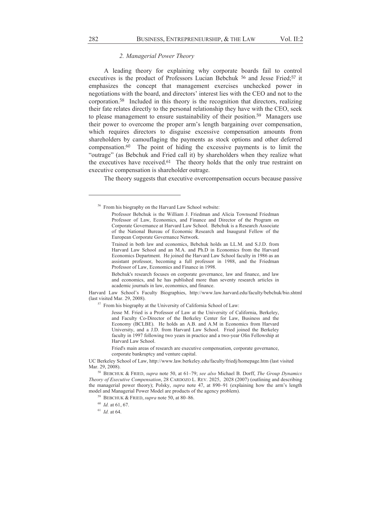# *2. Managerial Power Theory*

A leading theory for explaining why corporate boards fail to control executives is the product of Professors Lucian Bebchuk <sup>56</sup> and Jesse Fried;57 it emphasizes the concept that management exercises unchecked power in negotiations with the board, and directors' interest lies with the CEO and not to the corporation.58 Included in this theory is the recognition that directors, realizing their fate relates directly to the personal relationship they have with the CEO, seek to please management to ensure sustainability of their position.<sup>59</sup> Managers use their power to overcome the proper arm's length bargaining over compensation, which requires directors to disguise excessive compensation amounts from shareholders by camouflaging the payments as stock options and other deferred compensation.60 The point of hiding the excessive payments is to limit the "outrage" (as Bebchuk and Fried call it) by shareholders when they realize what the executives have received.<sup>61</sup> The theory holds that the only true restraint on executive compensation is shareholder outrage.

The theory suggests that executive overcompensation occurs because passive

Bebchuk's research focuses on corporate governance, law and finance, and law and economics, and he has published more than seventy research articles in academic journals in law, economics, and finance.

Harvard Law School's Faculty Biographies, http://www.law.harvard.edu/faculty/bebchuk/bio.shtml (last visited Mar. 29, 2008).

<sup>57</sup> From his biography at the University of California School of Law:

Jesse M. Fried is a Professor of Law at the University of California, Berkeley, and Faculty Co-Director of the Berkeley Center for Law, Business and the Economy (BCLBE). He holds an A.B. and A.M in Economics from Harvard University, and a J.D. from Harvard Law School. Fried joined the Berkeley faculty in 1997 following two years in practice and a two-year Olin Fellowship at Harvard Law School.

Fried's main areas of research are executive compensation, corporate governance, corporate bankruptcy and venture capital.

UC Berkeley School of Law, http://www.law.berkeley.edu/faculty/friedj/homepage.htm (last visited Mar. 29, 2008).

<sup>58</sup> BEBCHUK & FRIED, *supra* note 50, at 61–79; *see also* Michael B. Dorff, *The Group Dynamics Theory of Executive Compensation*, 28 CARDOZO L. REV. 2025, 2028 (2007) (outlining and describing the managerial power theory); Polsky, *supra* note 47, at 890–91 (explaining how the arm's length model and Managerial Power Model are products of the agency problem).

<sup>59</sup> BEBCHUK & FRIED, *supra* note 50, at 80–86.

<sup>60</sup> *Id.* at 61, 67.

<sup>61</sup> *Id.* at 64.

<sup>56</sup> From his biography on the Harvard Law School website:

Professor Bebchuk is the William J. Friedman and Alicia Townsend Friedman Professor of Law, Economics, and Finance and Director of the Program on Corporate Governance at Harvard Law School. Bebchuk is a Research Associate of the National Bureau of Economic Research and Inaugural Fellow of the European Corporate Governance Network.

Trained in both law and economics, Bebchuk holds an LL.M. and S.J.D. from Harvard Law School and an M.A. and Ph.D in Economics from the Harvard Economics Department. He joined the Harvard Law School faculty in 1986 as an assistant professor, becoming a full professor in 1988, and the Friedman Professor of Law, Economics and Finance in 1998.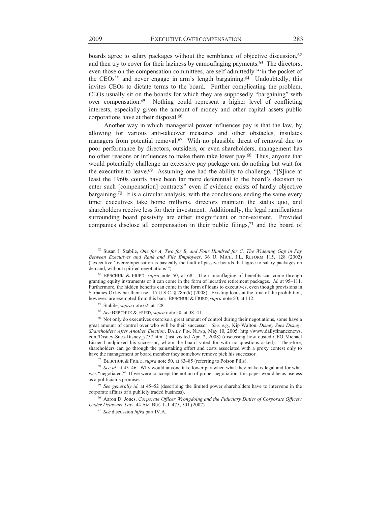boards agree to salary packages without the semblance of objective discussion,<sup>62</sup> and then try to cover for their laziness by camouflaging payments.63 The directors, even those on the compensation committees, are self-admittedly "'in the pocket of the CEOs'" and never engage in arm's length bargaining.64 Undoubtedly, this invites CEOs to dictate terms to the board. Further complicating the problem, CEOs usually sit on the boards for which they are supposedly "bargaining" with over compensation.65 Nothing could represent a higher level of conflicting interests, especially given the amount of money and other capital assets public corporations have at their disposal.<sup>66</sup>

Another way in which managerial power influences pay is that the law, by allowing for various anti-takeover measures and other obstacles, insulates managers from potential removal.<sup>67</sup> With no plausible threat of removal due to poor performance by directors, outsiders, or even shareholders, management has no other reasons or influences to make them take lower pay.68 Thus, anyone that would potentially challenge an excessive pay package can do nothing but wait for the executive to leave.69 Assuming one had the ability to challenge, "[S]ince at least the 1960s courts have been far more deferential to the board's decision to enter such [compensation] contracts" even if evidence exists of hardly objective bargaining.70 It is a circular analysis, with the conclusions ending the same every time: executives take home millions, directors maintain the status quo, and shareholders receive less for their investment. Additionally, the legal ramifications surrounding board passivity are either insignificant or non-existent. Provided companies disclose all compensation in their public filings,<sup>71</sup> and the board of

<sup>62</sup> Susan J. Stabile, *One for A, Two for B, and Four Hundred for C: The Widening Gap in Pay Between Executives and Rank and File Employees*, 36 U. MICH. J.L. REFORM 115, 128 (2002) ("executive 'overcompensation is basically the fault of passive boards that agree to salary packages on demand, without spirited negotiations'").

<sup>63</sup> BEBCHUK & FRIED, *supra* note 50, at 68. The camouflaging of benefits can come through granting equity instruments or it can come in the form of lucrative retirement packages. *Id.* at 95–111. Furthermore, the hidden benefits can come in the form of loans to executives, even though provisions in Sarbanes-Oxley bar their use. 15 U.S.C. § 78m(k) (2008). Existing loans at the time of the prohibition, however, are exempted from this ban. BEBCHUK & FRIED, *supra* note 50, at 112.

<sup>64</sup> Stabile, *supra* note 62, at 128.

<sup>65</sup> *See* BEBCHUK & FRIED, *supra* note 50, at 38–41.

<sup>66</sup> Not only do executives exercise a great amount of control during their negotiations, some have a great amount of control over who will be their successor. *See, e.g.*, Kip Walton, *Disney Sues Disney: Shareholders After Another Election*, DAILY FIN. NEWS, May 10, 2005, http://www.dailyfinancenews. com/Disney-Sues-Disney\_s757.html (last visited Apr. 2, 2008) (discussing how ousted CEO Michael Eisner handpicked his successor, whom the board voted for with no questions asked). Therefore, shareholders can go through the painstaking effort and costs associated with a proxy contest only to have the management or board member they somehow remove pick his successor.

<sup>67</sup> BEBCHUK & FRIED, *supra* note 50, at 83–85 (referring to Poison Pills).

<sup>68</sup> *See id.* at 45–46. Why would anyone take lower pay when what they make is legal and for what was "negotiated?" If we were to accept the notion of proper negotiation, this paper would be as useless as a politician's promises.

<sup>69</sup> *See generally id.* at 45–52 (describing the limited power shareholders have to intervene in the corporate affairs of a publicly traded business).

<sup>70</sup> Aaron D. Jones, *Corporate Officer Wrongdoing and the Fiduciary Duties of Corporate Officers Under Delaware Law*, 44 AM. BUS. L.J. 475, 501 (2007).

<sup>71</sup> *See* discussion *infra* part IV.A.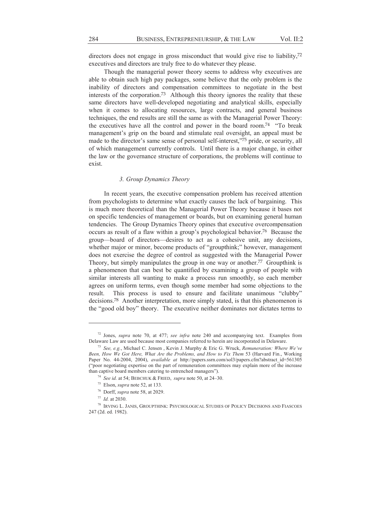directors does not engage in gross misconduct that would give rise to liability,<sup>72</sup> executives and directors are truly free to do whatever they please.

Though the managerial power theory seems to address why executives are able to obtain such high pay packages, some believe that the only problem is the inability of directors and compensation committees to negotiate in the best interests of the corporation.73 Although this theory ignores the reality that these same directors have well-developed negotiating and analytical skills, especially when it comes to allocating resources, large contracts, and general business techniques, the end results are still the same as with the Managerial Power Theory: the executives have all the control and power in the board room.74 "To break management's grip on the board and stimulate real oversight, an appeal must be made to the director's same sense of personal self-interest,"75 pride, or security, all of which management currently controls. Until there is a major change, in either the law or the governance structure of corporations, the problems will continue to exist.

#### *3. Group Dynamics Theory*

In recent years, the executive compensation problem has received attention from psychologists to determine what exactly causes the lack of bargaining. This is much more theoretical than the Managerial Power Theory because it bases not on specific tendencies of management or boards, but on examining general human tendencies. The Group Dynamics Theory opines that executive overcompensation occurs as result of a flaw within a group's psychological behavior.76 Because the group—board of directors—desires to act as a cohesive unit, any decisions, whether major or minor, become products of "groupthink;" however, management does not exercise the degree of control as suggested with the Managerial Power Theory, but simply manipulates the group in one way or another.<sup>77</sup> Groupthink is a phenomenon that can best be quantified by examining a group of people with similar interests all wanting to make a process run smoothly, so each member agrees on uniform terms, even though some member had some objections to the result. This process is used to ensure and facilitate unanimous "clubby" decisions.78 Another interpretation, more simply stated, is that this phenomenon is the "good old boy" theory. The executive neither dominates nor dictates terms to

<sup>77</sup> *Id.* at 2030.

<sup>72</sup> Jones, *supra* note 70, at 477; *see infra* note 240 and accompanying text. Examples from Delaware Law are used because most companies referred to herein are incorporated in Delaware.

<sup>73</sup> *See, e.g.*, Michael C. Jensen , Kevin J. Murphy & Eric G. Wruck, *Remuneration: Where We've Been, How We Got Here, What Are the Problems, and How to Fix Them* 53 (Harvard Fin., Working Paper No. 44-2004, 2004), *available at* http://papers.ssrn.com/sol3/papers.cfm?abstract\_id=561305 ("poor negotiating expertise on the part of remuneration committees may explain more of the increase than captive board members catering to entrenched managers").

<sup>74</sup> *See id.* at 54; BEBCHUK & FRIED, *supra* note 50, at 24–30.

<sup>75</sup> Elson, *supra* note 52, at 133.

<sup>76</sup> Dorff, *supra* note 58, at 2029.

<sup>78</sup> IRVING L. JANIS, GROUPTHINK: PSYCHOLOGICAL STUDIES OF POLICY DECISIONS AND FIASCOES 247 (2d. ed. 1982).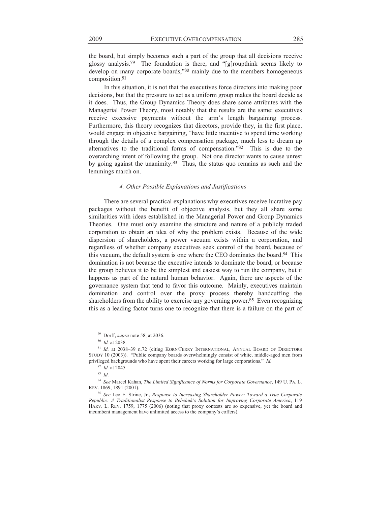the board, but simply becomes such a part of the group that all decisions receive glossy analysis.79 The foundation is there, and "[g]roupthink seems likely to develop on many corporate boards,"80 mainly due to the members homogeneous composition.<sup>81</sup>

In this situation, it is not that the executives force directors into making poor decisions, but that the pressure to act as a uniform group makes the board decide as it does. Thus, the Group Dynamics Theory does share some attributes with the Managerial Power Theory, most notably that the results are the same: executives receive excessive payments without the arm's length bargaining process. Furthermore, this theory recognizes that directors, provide they, in the first place, would engage in objective bargaining, "have little incentive to spend time working through the details of a complex compensation package, much less to dream up alternatives to the traditional forms of compensation."82 This is due to the overarching intent of following the group. Not one director wants to cause unrest by going against the unanimity.83 Thus, the status quo remains as such and the lemmings march on.

#### *4. Other Possible Explanations and Justifications*

There are several practical explanations why executives receive lucrative pay packages without the benefit of objective analysis, but they all share some similarities with ideas established in the Managerial Power and Group Dynamics Theories. One must only examine the structure and nature of a publicly traded corporation to obtain an idea of why the problem exists. Because of the wide dispersion of shareholders, a power vacuum exists within a corporation, and regardless of whether company executives seek control of the board, because of this vacuum, the default system is one where the CEO dominates the board.84 This domination is not because the executive intends to dominate the board, or because the group believes it to be the simplest and easiest way to run the company, but it happens as part of the natural human behavior. Again, there are aspects of the governance system that tend to favor this outcome. Mainly, executives maintain domination and control over the proxy process thereby handcuffing the shareholders from the ability to exercise any governing power.<sup>85</sup> Even recognizing this as a leading factor turns one to recognize that there is a failure on the part of

<sup>79</sup> Dorff, *supra* note 58, at 2036.

<sup>80</sup> *Id.* at 2038.

<sup>81</sup> *Id.* at 2038–39 n.72 (citing KORN/FERRY INTERNATIONAL, ANNUAL BOARD OF DIRECTORS STUDY 10 (2003)). "Public company boards overwhelmingly consist of white, middle-aged men from privileged backgrounds who have spent their careers working for large corporations." *Id.*

<sup>82</sup> *Id.* at 2045.

<sup>83</sup> *Id.* 

<sup>84</sup> *See* Marcel Kahan, *The Limited Significance of Norms for Corporate Governance*, 149 U. PA. L. REV. 1869, 1891 (2001).

<sup>85</sup> *See* Leo E. Strine, Jr., *Response to Increasing Shareholder Power: Toward a True Corporate Republic: A Traditionalist Response to Bebchuk's Solution for Improving Corporate America*, 119 HARV. L. REV. 1759, 1775 (2006) (noting that proxy contests are so expensive, yet the board and incumbent management have unlimited access to the company's coffers).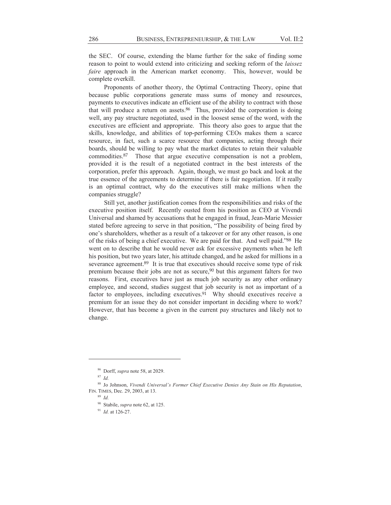the SEC. Of course, extending the blame further for the sake of finding some reason to point to would extend into criticizing and seeking reform of the *laissez faire* approach in the American market economy. This, however, would be complete overkill.

Proponents of another theory, the Optimal Contracting Theory, opine that because public corporations generate mass sums of money and resources, payments to executives indicate an efficient use of the ability to contract with those that will produce a return on assets.86 Thus, provided the corporation is doing well, any pay structure negotiated, used in the loosest sense of the word, with the executives are efficient and appropriate. This theory also goes to argue that the skills, knowledge, and abilities of top-performing CEOs makes them a scarce resource, in fact, such a scarce resource that companies, acting through their boards, should be willing to pay what the market dictates to retain their valuable commodities.87 Those that argue executive compensation is not a problem, provided it is the result of a negotiated contract in the best interests of the corporation, prefer this approach. Again, though, we must go back and look at the true essence of the agreements to determine if there is fair negotiation. If it really is an optimal contract, why do the executives still make millions when the companies struggle?

Still yet, another justification comes from the responsibilities and risks of the executive position itself. Recently ousted from his position as CEO at Vivendi Universal and shamed by accusations that he engaged in fraud, Jean-Marie Messier stated before agreeing to serve in that position, "The possibility of being fired by one's shareholders, whether as a result of a takeover or for any other reason, is one of the risks of being a chief executive. We are paid for that. And well paid."88 He went on to describe that he would never ask for excessive payments when he left his position, but two years later, his attitude changed, and he asked for millions in a severance agreement.<sup>89</sup> It is true that executives should receive some type of risk premium because their jobs are not as secure,90 but this argument falters for two reasons. First, executives have just as much job security as any other ordinary employee, and second, studies suggest that job security is not as important of a factor to employees, including executives.<sup>91</sup> Why should executives receive a premium for an issue they do not consider important in deciding where to work? However, that has become a given in the current pay structures and likely not to change.

<sup>86</sup> Dorff, *supra* note 58, at 2029.

<sup>87</sup> *Id.*

<sup>88</sup> Jo Johnson, *Vivendi Universal's Former Chief Executive Denies Any Stain on His Reputation*, FIN. TIMES, Dec. 29, 2003, at 13.

<sup>89</sup> *Id.*

<sup>90</sup> Stabile, *supra* note 62, at 125.

<sup>91</sup> *Id.* at 126-27.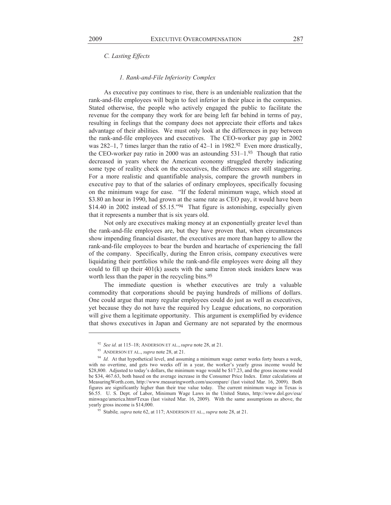# *C. Lasting Effects*

#### *1. Rank-and-File Inferiority Complex*

As executive pay continues to rise, there is an undeniable realization that the rank-and-file employees will begin to feel inferior in their place in the companies. Stated otherwise, the people who actively engaged the public to facilitate the revenue for the company they work for are being left far behind in terms of pay, resulting in feelings that the company does not appreciate their efforts and takes advantage of their abilities. We must only look at the differences in pay between the rank-and-file employees and executives. The CEO-worker pay gap in 2002 was 282–1, 7 times larger than the ratio of 42–1 in 1982.<sup>92</sup> Even more drastically, the CEO-worker pay ratio in 2000 was an astounding  $531-1.93$  Though that ratio decreased in years where the American economy struggled thereby indicating some type of reality check on the executives, the differences are still staggering. For a more realistic and quantifiable analysis, compare the growth numbers in executive pay to that of the salaries of ordinary employees, specifically focusing on the minimum wage for ease. "If the federal minimum wage, which stood at \$3.80 an hour in 1990, had grown at the same rate as CEO pay, it would have been \$14.40 in 2002 instead of \$5.15."94 That figure is astonishing, especially given that it represents a number that is six years old.

Not only are executives making money at an exponentially greater level than the rank-and-file employees are, but they have proven that, when circumstances show impending financial disaster, the executives are more than happy to allow the rank-and-file employees to bear the burden and heartache of experiencing the fall of the company. Specifically, during the Enron crisis, company executives were liquidating their portfolios while the rank-and-file employees were doing all they could to fill up their  $401(k)$  assets with the same Enron stock insiders knew was worth less than the paper in the recycling bins.<sup>95</sup>

The immediate question is whether executives are truly a valuable commodity that corporations should be paying hundreds of millions of dollars. One could argue that many regular employees could do just as well as executives, yet because they do not have the required Ivy League educations, no corporation will give them a legitimate opportunity. This argument is exemplified by evidence that shows executives in Japan and Germany are not separated by the enormous

<sup>92</sup> *See id.* at 115–18; ANDERSON ET AL., *supra* note 28, at 21.

<sup>93</sup> ANDERSON ET AL., *supra* note 28, at 21.

<sup>&</sup>lt;sup>94</sup> *Id.* At that hypothetical level, and assuming a minimum wage earner works forty hours a week, with no overtime, and gets two weeks off in a year, the worker's yearly gross income would be \$28,800. Adjusted to today's dollars, the minimum wage would be \$17.23, and the gross income would be \$34, 467.63, both based on the average increase in the Consumer Price Index. Enter calculations at MeasuringWorth.com, http://www.measuringworth.com/uscompare/ (last visited Mar. 16, 2009). Both figures are significantly higher than their true value today. The current minimum wage in Texas is \$6.55. U. S. Dept. of Labor, Minimum Wage Laws in the United States, http://www.dol.gov/esa/ minwage/america.htm#Texas (last visited Mar. 16, 2009). With the same assumptions as above, the yearly gross income is \$14,000.

<sup>95</sup> Stabile*, supra* note 62, at 117; ANDERSON ET AL., *supra* note 28, at 21.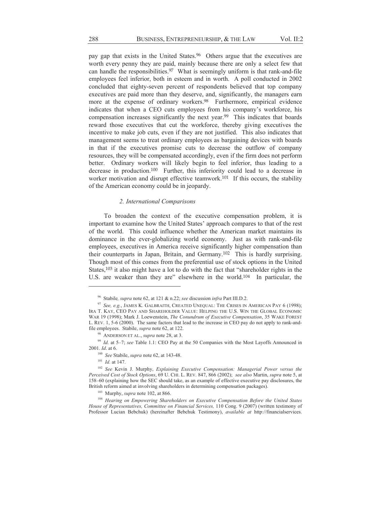pay gap that exists in the United States.<sup>96</sup> Others argue that the executives are worth every penny they are paid, mainly because there are only a select few that can handle the responsibilities.<sup>97</sup> What is seemingly uniform is that rank-and-file employees feel inferior, both in esteem and in worth. A poll conducted in 2002 concluded that eighty-seven percent of respondents believed that top company executives are paid more than they deserve, and, significantly, the managers earn more at the expense of ordinary workers.<sup>98</sup> Furthermore, empirical evidence indicates that when a CEO cuts employees from his company's workforce, his compensation increases significantly the next year.99 This indicates that boards reward those executives that cut the workforce, thereby giving executives the incentive to make job cuts, even if they are not justified. This also indicates that management seems to treat ordinary employees as bargaining devices with boards in that if the executives promise cuts to decrease the outflow of company resources, they will be compensated accordingly, even if the firm does not perform better. Ordinary workers will likely begin to feel inferior, thus leading to a decrease in production.100 Further, this inferiority could lead to a decrease in worker motivation and disrupt effective teamwork.<sup>101</sup> If this occurs, the stability of the American economy could be in jeopardy.

#### *2. International Comparisons*

To broaden the context of the executive compensation problem, it is important to examine how the United States' approach compares to that of the rest of the world. This could influence whether the American market maintains its dominance in the ever-globalizing world economy. Just as with rank-and-file employees, executives in America receive significantly higher compensation than their counterparts in Japan, Britain, and Germany.102 This is hardly surprising. Though most of this comes from the preferential use of stock options in the United States,<sup>103</sup> it also might have a lot to do with the fact that "shareholder rights in the U.S. are weaker than they are" elsewhere in the world.104 In particular, the

<sup>96</sup> Stabile*, supra* note 62, at 121 & n.22; *see* discussion *infra* Part III.D.2.

<sup>97</sup> *See, e.g.*, JAMES K. GALBRAITH, CREATED UNEQUAL: THE CRISES IN AMERICAN PAY 6 (1998); IRA T. KAY, CEO PAY AND SHAREHOLDER VALUE: HELPING THE U.S. WIN THE GLOBAL ECONOMIC WAR 19 (1998); Mark J. Loewenstein, *The Conundrum of Executive Compensation*, 35 WAKE FOREST L. REV. 1, 5-6 (2000). The same factors that lead to the increase in CEO pay do not apply to rank-andfile employees. Stabile, *supra* note 62, at 122.

<sup>98</sup> ANDERSON ET AL., *supra* note 28, at 3.

<sup>99</sup> *Id.* at 5–7; *see* Table 1.1: CEO Pay at the 50 Companies with the Most Layoffs Announced in 2001. *Id*. at 6.

<sup>100</sup> *See* Stabile, *supra* note 62, at 143-48.

<sup>101</sup> *Id.* at 147.

<sup>102</sup> *See* Kevin J. Murphy, *Explaining Executive Compensation: Managerial Power versus the Perceived Cost of Stock Options*, 69 U. CHI. L. REV. 847, 866 (2002); *see also* Martin, *supra* note 5, at 158–60 (explaining how the SEC should take, as an example of effective executive pay disclosures, the British reform aimed at involving shareholders in determining compensation packages).

<sup>103</sup> Murphy, *supra* note 102, at 866.

<sup>104</sup> *Hearing on Empowering Shareholders on Executive Compensation Before the United States House of Representatives, Committee on Financial Services,* 110 Cong. 9 (2007) (written testimony of Professor Lucian Bebchuk) (hereinafter Bebchuk Testimony), *available at* http://financialservices.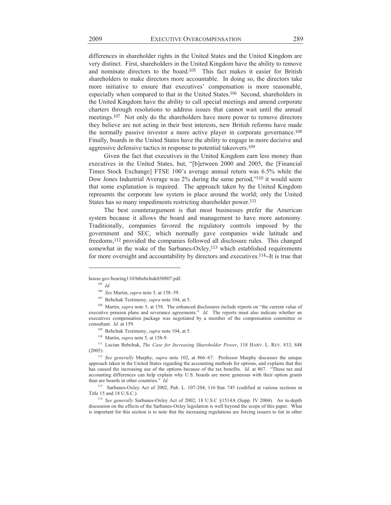differences in shareholder rights in the United States and the United Kingdom are very distinct. First, shareholders in the United Kingdom have the ability to remove and nominate directors to the board.105 This fact makes it easier for British shareholders to make directors more accountable. In doing so, the directors take more initiative to ensure that executives' compensation is more reasonable, especially when compared to that in the United States.106 Second, shareholders in the United Kingdom have the ability to call special meetings and amend corporate charters through resolutions to address issues that cannot wait until the annual meetings.<sup>107</sup> Not only do the shareholders have more power to remove directors they believe are not acting in their best interests, new British reforms have made the normally passive investor a more active player in corporate governance.<sup>108</sup> Finally, boards in the United States have the ability to engage in more decisive and aggressive defensive tactics in response to potential takeovers.<sup>109</sup>

Given the fact that executives in the United Kingdom earn less money than executives in the United States, but, "[b]etween 2000 and 2005, the [Financial Times Stock Exchange] FTSE 100's average annual return was 6.5% while the Dow Jones Industrial Average was 2% during the same period,"110 it would seem that some explanation is required. The approach taken by the United Kingdom represents the corporate law system in place around the world; only the United States has so many impediments restricting shareholder power.<sup>111</sup>

The best counterargument is that most businesses prefer the American system because it allows the board and management to have more autonomy. Traditionally, companies favored the regulatory controls imposed by the government and SEC, which normally gave companies wide latitude and freedoms,112 provided the companies followed all disclosure rules. This changed somewhat in the wake of the Sarbanes-Oxley,<sup>113</sup> which established requirements for more oversight and accountability by directors and executives.<sup>114</sup>–It is true that

house.gov/hearing110/htbebchuk030807.pdf.

<sup>105</sup> *Id.*

-

<sup>107</sup> Bebchuk Testimony, *supra* note 104, at 5.

<sup>108</sup> Martin, *supra* note 5, at 158. The enhanced disclosures include reports on "the current value of executive pension plans and severance agreements." *Id.* The reports must also indicate whether an executives compensation package was negotiated by a member of the compensation committee or consultant. *Id.* at 159.

<sup>109</sup> Bebchuk Testimony, *supra* note 104, at 5.

<sup>111</sup> Lucian Bebchuk, *The Case for Increasing Shareholder Power*, 118 HARV. L. REV. 833, 848 (2005).

<sup>106</sup> *See* Martin, *supra* note 5, at 158–59.

<sup>110</sup> Martin, *supra* note 5, at 158-9.

<sup>112</sup> *See generally* Murphy, *supra* note 102, at 866–67. Professor Murphy discusses the unique approach taken in the United States regarding the accounting methods for options, and explains that this has caused the increasing use of the options because of the tax benefits. *Id.* at 867. "These tax and accounting differences can help explain why U.S. boards are more generous with their option grants than are boards in other countries." *Id.*

<sup>113</sup> Sarbanes-Oxley Act of 2002, Pub. L. 107-204, 116 Stat. 745 (codified at various sections in Title 15 and 18 U.S.C.).

<sup>114</sup> *See generally* Sarbanes-Oxley Act of 2002, 18 U.S.C §1514A (Supp. IV 2004). An in-depth discussion on the effects of the Sarbanes-Oxley legislation is well beyond the scope of this paper. What is important for this section is to note that the increasing regulations are forcing issuers to list in other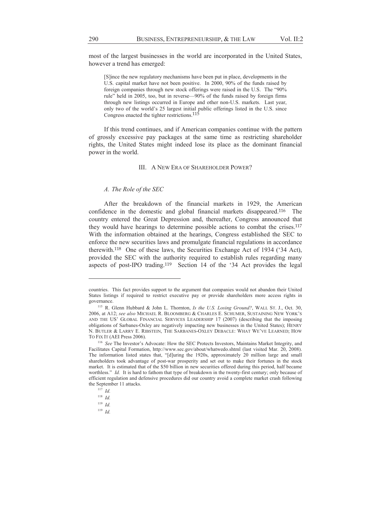most of the largest businesses in the world are incorporated in the United States, however a trend has emerged:

[S]ince the new regulatory mechanisms have been put in place, developments in the U.S. capital market have not been positive. In 2000, 90% of the funds raised by foreign companies through new stock offerings were raised in the U.S. The "90% rule" held in 2005, too, but in reverse—90% of the funds raised by foreign firms through new listings occurred in Europe and other non-U.S. markets. Last year, only two of the world's 25 largest initial public offerings listed in the U.S. since Congress enacted the tighter restrictions.<sup>115</sup>

If this trend continues, and if American companies continue with the pattern of grossly excessive pay packages at the same time as restricting shareholder rights, the United States might indeed lose its place as the dominant financial power in the world.

#### III. A NEW ERA OF SHAREHOLDER POWER?

#### *A. The Role of the SEC*

After the breakdown of the financial markets in 1929, the American confidence in the domestic and global financial markets disappeared.116 The country entered the Great Depression and, thereafter, Congress announced that they would have hearings to determine possible actions to combat the crises.<sup>117</sup> With the information obtained at the hearings, Congress established the SEC to enforce the new securities laws and promulgate financial regulations in accordance therewith.118 One of these laws, the Securities Exchange Act of 1934 ('34 Act), provided the SEC with the authority required to establish rules regarding many aspects of post-IPO trading.119 Section 14 of the '34 Act provides the legal

countries. This fact provides support to the argument that companies would not abandon their United States listings if required to restrict executive pay or provide shareholders more access rights in governance.

<sup>115</sup> R. Glenn Hubbard & John L. Thornton, *Is the U.S. Losing Ground?*, WALL ST. J., Oct. 30, 2006, at A12; *see also* MICHAEL R. BLOOMBERG & CHARLES E. SCHUMER, SUSTAINING NEW YORK'S AND THE US' GLOBAL FINANCIAL SERVICES LEADERSHIP 17 (2007) (describing that the imposing obligations of Sarbanes-Oxley are negatively impacting new businesses in the United States); HENRY N. BUTLER & LARRY E. RIBSTEIN, THE SARBANES-OXLEY DEBACLE: WHAT WE'VE LEARNED; HOW TO FIX IT (AEI Press 2006).

<sup>116</sup> *See* The Investor's Advocate: How the SEC Protects Investors, Maintains Market Integrity, and Facilitates Capital Formation, http://www.sec.gov/about/whatwedo.shtml (last visited Mar. 20, 2008). The information listed states that, "[d]uring the 1920s, approximately 20 million large and small shareholders took advantage of post-war prosperity and set out to make their fortunes in the stock market. It is estimated that of the \$50 billion in new securities offered during this period, half became worthless." *Id.* It is hard to fathom that type of breakdown in the twenty-first century; only because of efficient regulation and defensive procedures did our country avoid a complete market crash following the September 11 attacks.

<sup>117</sup> *Id.* 

<sup>118</sup> *Id.*

<sup>119</sup> *Id.*

<sup>119</sup> *Id.*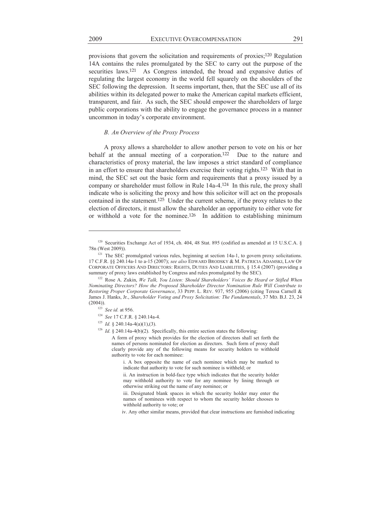provisions that govern the solicitation and requirements of proxies;120 Regulation 14A contains the rules promulgated by the SEC to carry out the purpose of the securities laws.<sup>121</sup> As Congress intended, the broad and expansive duties of regulating the largest economy in the world fell squarely on the shoulders of the SEC following the depression. It seems important, then, that the SEC use all of its abilities within its delegated power to make the American capital markets efficient, transparent, and fair. As such, the SEC should empower the shareholders of large public corporations with the ability to engage the governance process in a manner uncommon in today's corporate environment.

#### *B. An Overview of the Proxy Process*

A proxy allows a shareholder to allow another person to vote on his or her behalf at the annual meeting of a corporation.122 Due to the nature and characteristics of proxy material, the law imposes a strict standard of compliance in an effort to ensure that shareholders exercise their voting rights.123 With that in mind, the SEC set out the basic form and requirements that a proxy issued by a company or shareholder must follow in Rule 14a-4.124 In this rule, the proxy shall indicate who is soliciting the proxy and how this solicitor will act on the proposals contained in the statement.125 Under the current scheme, if the proxy relates to the election of directors, it must allow the shareholder an opportunity to either vote for or withhold a vote for the nominee.126 In addition to establishing minimum

<sup>&</sup>lt;sup>120</sup> Securities Exchange Act of 1934, ch. 404, 48 Stat. 895 (codified as amended at 15 U.S.C.A. § 78n (West 2009)).

<sup>&</sup>lt;sup>121</sup> The SEC promulgated various rules, beginning at section 14a-1, to govern proxy solicitations. 17 C.F.R. §§ 240.14a-1 to a-15 (2007); *see also* EDWARD BRODSKY & M. PATRICIA ADAMSKI, LAW OF CORPORATE OFFICERS AND DIRECTORS: RIGHTS, DUTIES AND LIABILITIES, § 15.4 (2007) (providing a summary of proxy laws established by Congress and rules promulgated by the SEC).

<sup>122</sup> Rose A. Zukin, *We Talk, You Listen: Should Shareholders' Voices Be Heard or Stifled When Nominating Directors? How the Proposed Shareholder Director Nomination Rule Will Contribute to Restoring Proper Corporate Governance*, 33 PEPP. L. REV. 937, 955 (2006) (citing Teresa Carnell & James J. Hanks, Jr., *Shareholder Voting and Proxy Solicitation: The Fundamentals*, 37 MD. B.J. 23, 24 (2004)).

<sup>123</sup> *See id.* at 956.

<sup>124</sup> *See* 17 C.F.R. § 240.14a-4.

<sup>125</sup> *Id.* § 240.14a-4(a)(1),(3).

<sup>&</sup>lt;sup>126</sup> *Id.* § 240.14a-4(b)(2). Specifically, this entire section states the following:

A form of proxy which provides for the election of directors shall set forth the names of persons nominated for election as directors. Such form of proxy shall clearly provide any of the following means for security holders to withhold authority to vote for each nominee:

i. A box opposite the name of each nominee which may be marked to indicate that authority to vote for such nominee is withheld; or

ii. An instruction in bold-face type which indicates that the security holder may withhold authority to vote for any nominee by lining through or otherwise striking out the name of any nominee; or

iii. Designated blank spaces in which the security holder may enter the names of nominees with respect to whom the security holder chooses to withhold authority to vote; or

iv. Any other similar means, provided that clear instructions are furnished indicating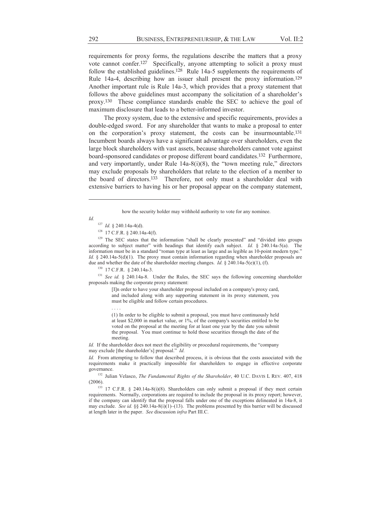requirements for proxy forms, the regulations describe the matters that a proxy vote cannot confer.127 Specifically, anyone attempting to solicit a proxy must follow the established guidelines.128 Rule 14a-5 supplements the requirements of Rule 14a-4, describing how an issuer shall present the proxy information.<sup>129</sup> Another important rule is Rule 14a-3, which provides that a proxy statement that follows the above guidelines must accompany the solicitation of a shareholder's proxy.130 These compliance standards enable the SEC to achieve the goal of maximum disclosure that leads to a better-informed investor.

The proxy system, due to the extensive and specific requirements, provides a double-edged sword. For any shareholder that wants to make a proposal to enter on the corporation's proxy statement, the costs can be insurmountable.<sup>131</sup> Incumbent boards always have a significant advantage over shareholders, even the large block shareholders with vast assets, because shareholders cannot vote against board-sponsored candidates or propose different board candidates.132 Furthermore, and very importantly, under Rule 14a-8(i)(8), the "town meeting rule," directors may exclude proposals by shareholders that relate to the election of a member to the board of directors.<sup>133</sup> Therefore, not only must a shareholder deal with extensive barriers to having his or her proposal appear on the company statement,

how the security holder may withhold authority to vote for any nominee.

*Id.* 

-

<sup>127</sup> *Id.* § 240.14a-4(d).

<sup>128</sup> 17 C.F.R. § 240.14a-4(f).

<sup>129</sup> The SEC states that the information "shall be clearly presented" and "divided into groups according to subject matter" with headings that identify each subject. *Id.* § 240.14a-5(a). The information must be in a standard "roman type at least as large and as legible as 10-point modern type." *Id.* § 240.14a-5(d)(1). The proxy must contain information regarding when shareholder proposals are due and whether the date of the shareholder meeting changes. *Id.* § 240.14a-5(e)(1), (f).

<sup>130</sup> 17 C.F.R. § 240.14a-3.

. . . .

<sup>131</sup> *See id.* § 240.14a-8. Under the Rules, the SEC says the following concerning shareholder proposals making the corporate proxy statement:

> [I]n order to have your shareholder proposal included on a company's proxy card, and included along with any supporting statement in its proxy statement, you must be eligible and follow certain procedures.

> (1) In order to be eligible to submit a proposal, you must have continuously held at least \$2,000 in market value, or 1%, of the company's securities entitled to be voted on the proposal at the meeting for at least one year by the date you submit the proposal. You must continue to hold those securities through the date of the meeting.

*Id.* If the shareholder does not meet the eligibility or procedural requirements, the "company may exclude [the shareholder's] proposal." *Id.* 

*Id.* From attempting to follow that described process, it is obvious that the costs associated with the requirements make it practically impossible for shareholders to engage in effective corporate governance.

<sup>132</sup> Julian Velasco, *The Fundamental Rights of the Shareholder*, 40 U.C. DAVIS L REV. 407, 418 (2006).

<sup>133</sup> 17 C.F.R. § 240.14a-8(i)(8). Shareholders can only submit a proposal if they meet certain requirements. Normally, corporations are required to include the proposal in its proxy report; however, if the company can identify that the proposal falls under one of the exceptions delineated in 14a-8, it may exclude. *See id.* §§ 240.14a-8(i)(1)–(13). The problems presented by this barrier will be discussed at length later in the paper. *See* discussion *infra* Part III.C.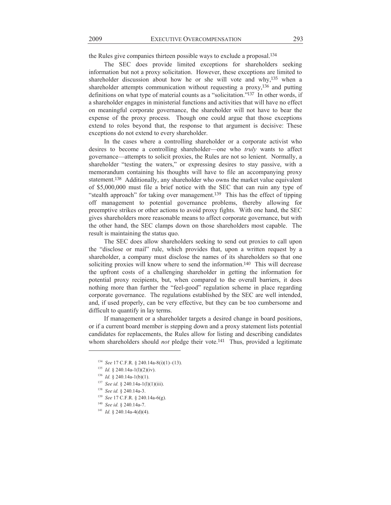the Rules give companies thirteen possible ways to exclude a proposal.<sup>134</sup>

The SEC does provide limited exceptions for shareholders seeking information but not a proxy solicitation. However, these exceptions are limited to shareholder discussion about how he or she will vote and why,<sup>135</sup> when a shareholder attempts communication without requesting a proxy,<sup>136</sup> and putting definitions on what type of material counts as a "solicitation."137 In other words, if a shareholder engages in ministerial functions and activities that will have no effect on meaningful corporate governance, the shareholder will not have to bear the expense of the proxy process. Though one could argue that those exceptions extend to roles beyond that, the response to that argument is decisive: These exceptions do not extend to every shareholder.

In the cases where a controlling shareholder or a corporate activist who desires to become a controlling shareholder—one who *truly* wants to affect governance—attempts to solicit proxies, the Rules are not so lenient. Normally, a shareholder "testing the waters," or expressing desires to stay passive, with a memorandum containing his thoughts will have to file an accompanying proxy statement.138 Additionally, any shareholder who owns the market value equivalent of \$5,000,000 must file a brief notice with the SEC that can ruin any type of "stealth approach" for taking over management.139 This has the effect of tipping off management to potential governance problems, thereby allowing for preemptive strikes or other actions to avoid proxy fights. With one hand, the SEC gives shareholders more reasonable means to affect corporate governance, but with the other hand, the SEC clamps down on those shareholders most capable. The result is maintaining the status quo.

The SEC does allow shareholders seeking to send out proxies to call upon the "disclose or mail" rule, which provides that, upon a written request by a shareholder, a company must disclose the names of its shareholders so that one soliciting proxies will know where to send the information.<sup>140</sup> This will decrease the upfront costs of a challenging shareholder in getting the information for potential proxy recipients, but, when compared to the overall barriers, it does nothing more than further the "feel-good" regulation scheme in place regarding corporate governance. The regulations established by the SEC are well intended, and, if used properly, can be very effective, but they can be too cumbersome and difficult to quantify in lay terms.

If management or a shareholder targets a desired change in board positions, or if a current board member is stepping down and a proxy statement lists potential candidates for replacements, the Rules allow for listing and describing candidates whom shareholders should *not* pledge their vote.<sup>141</sup> Thus, provided a legitimate

<sup>134</sup> *See* 17 C.F.R. § 240.14a-8(i)(1)–(13).

<sup>&</sup>lt;sup>135</sup> *Id.* § 240.14a-1(l)(2)(iv).

<sup>136</sup> *Id.* § 240.14a-1(b)(1).

<sup>137</sup> *See id.* § 240.14a-1(l)(1)(iii).

<sup>138</sup> *See id.* § 240.14a-3.

<sup>139</sup> *See* 17 C.F.R. § 240.14a-6(g).

<sup>140</sup> *See id.* § 240.14a-7.

<sup>&</sup>lt;sup>141</sup> *Id.* § 240.14a-4(d)(4).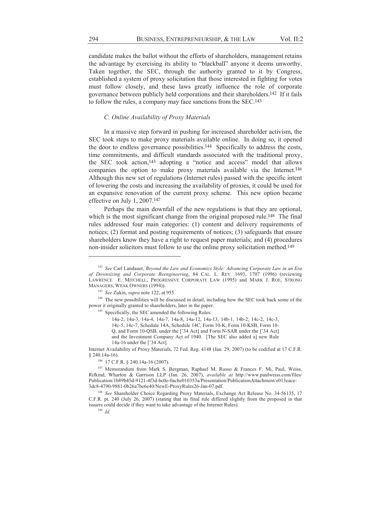candidate makes the ballot without the efforts of shareholders, management retains the advantage by exercising its ability to "blackball" anyone it deems unworthy. Taken together, the SEC, through the authority granted to it by Congress, established a system of proxy solicitation that those interested in fighting for votes must follow closely, and these laws greatly influence the role of corporate governance between publicly held corporations and their shareholders.142 If it fails to follow the rules, a company may face sanctions from the SEC.<sup>143</sup>

#### *C. Online Availability of Proxy Materials*

In a massive step forward in pushing for increased shareholder activism, the SEC took steps to make proxy materials available online. In doing so, it opened the door to endless governance possibilities.144 Specifically to address the costs, time commitments, and difficult standards associated with the traditional proxy, the SEC took action,145 adopting a "notice and access" model that allows companies the option to make proxy materials available via the Internet.<sup>146</sup> Although this new set of regulations (Internet rules) passed with the specific intent of lowering the costs and increasing the availability of proxies, it could be used for an expansive renovation of the current proxy scheme. This new option became effective on July 1, 2007.<sup>147</sup>

Perhaps the main downfall of the new regulations is that they are optional, which is the most significant change from the original proposed rule.<sup>148</sup> The final rules addressed four main categories: (1) content and delivery requirements of notices; (2) format and posting requirements of notices; (3) safeguards that ensure shareholders know they have a right to request paper materials; and (4) procedures non-insider solicitors must follow to use the online proxy solicitation method.<sup>149</sup>

Internet Availability of Proxy Materials, 72 Fed. Reg. 4148 (Jan. 29, 2007) (to be codified at 17 C.F.R. § 240.14a-16).

<sup>146</sup> 17 C.F.R. § 240.14a-16 (2007).

<sup>148</sup> See Shareholder Choice Regarding Proxy Materials, Exchange Act Release No. 34-56135, 17 C.F.R. pt. 240 (July 26, 2007) (stating that its final rule differed slightly from the proposed in that issuers could decide if they want to take advantage of the Internet Rules).

<sup>149</sup> *Id.*

<sup>142</sup> *See* Carl Landauer, *Beyond the Law and Economics Style: Advancing Corporate Law in an Era of Downsizing and Corporate Reengineering*, 84 CAL. L. REV. 1693, 1707 (1996) (reviewing LAWRENCE E. MITCHELL, PROGRESSIVE CORPORATE LAW (1995) and MARK J. ROE, STRONG MANAGERS, WEAK OWNERS (1994)).

<sup>143</sup> *See* Zukin, *supra* note 122, at 955.

<sup>&</sup>lt;sup>144</sup> The new possibilities will be discussed in detail, including how the SEC took back some of the power it originally granted to shareholders, later in the paper.

<sup>&</sup>lt;sup>145</sup> Specifically, the SEC amended the following Rules:

<sup>14</sup>a-2, 14a-3, 14a-4, 14a-7, 14a-8, 14a-12, 14a-13, 14b-1, 14b-2, 14c-2, 14c-3, 14c-5, 14c-7, Schedule 14A, Schedule 14C, Form 10-K, Form 10-KSB, Form 10- Q, and Form 10-QSB, under the ['34 Act] and Form N-SAR under the ['34 Act]

and the Investment Company Act of 1940. [The SEC also added a] new Rule 14a-16 under the ['34 Act].

<sup>&</sup>lt;sup>147</sup> Memorandum from Mark S. Bergman, Raphael M. Russo & Frances F. Mi, Paul, Weiss, Rifkind, Wharton & Garrison LLP (Jan. 26, 2007), *available at* http://www.paulweiss.com/files/ Publication/1b89b45d-9121-4f3d-bc0e-0acbe010353a/Presentation/PublicationAttachment/e013eace-3dc8-4790-9881-0b26a7be6e40/NewE-ProxyRules26-Jan-07.pdf.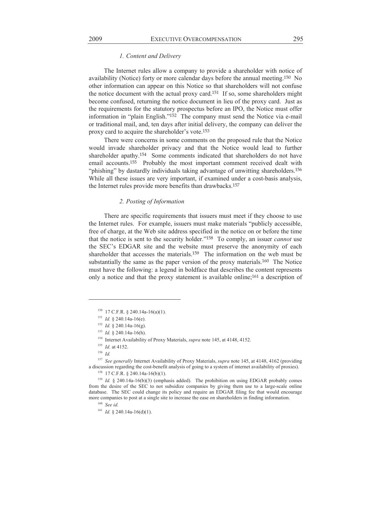#### *1. Content and Delivery*

The Internet rules allow a company to provide a shareholder with notice of availability (Notice) forty or more calendar days before the annual meeting.150 No other information can appear on this Notice so that shareholders will not confuse the notice document with the actual proxy card.151 If so, some shareholders might become confused, returning the notice document in lieu of the proxy card. Just as the requirements for the statutory prospectus before an IPO, the Notice must offer information in "plain English."152 The company must send the Notice via e-mail or traditional mail, and, ten days after initial delivery, the company can deliver the proxy card to acquire the shareholder's vote.<sup>153</sup>

There were concerns in some comments on the proposed rule that the Notice would invade shareholder privacy and that the Notice would lead to further shareholder apathy.<sup>154</sup> Some comments indicated that shareholders do not have email accounts.<sup>155</sup> Probably the most important comment received dealt with "phishing" by dastardly individuals taking advantage of unwitting shareholders.<sup>156</sup> While all these issues are very important, if examined under a cost-basis analysis, the Internet rules provide more benefits than drawbacks.<sup>157</sup>

#### *2. Posting of Information*

There are specific requirements that issuers must meet if they choose to use the Internet rules. For example, issuers must make materials "publicly accessible, free of charge, at the Web site address specified in the notice on or before the time that the notice is sent to the security holder."158 To comply, an issuer *cannot* use the SEC's EDGAR site and the website must preserve the anonymity of each shareholder that accesses the materials.159 The information on the web must be substantially the same as the paper version of the proxy materials.160 The Notice must have the following: a legend in boldface that describes the content represents only a notice and that the proxy statement is available online;161 a description of

-

<sup>157</sup> *See generally* Internet Availability of Proxy Materials, *supra* note 145, at 4148, 4162 (providing a discussion regarding the cost-benefit analysis of going to a system of internet availability of proxies).

<sup>150</sup> 17 C.F.R. § 240.14a-16(a)(1).

<sup>151</sup> *Id.* § 240.14a-16(e).

<sup>152</sup> *Id.* § 240.14a-16(g).

<sup>153</sup> *Id.* § 240.14a-16(h).

<sup>154</sup> Internet Availability of Proxy Materials, *supra* note 145, at 4148, 4152.

<sup>155</sup> *Id.* at 4152.

<sup>156</sup> *Id.*

<sup>158</sup> 17 C.F.R. § 240.14a-16(b)(1).

<sup>&</sup>lt;sup>159</sup> *Id.* § 240.14a-16(b)(3) (emphasis added). The prohibition on using EDGAR probably comes from the desire of the SEC to not subsidize companies by giving them use to a large-scale online database. The SEC could change its policy and require an EDGAR filing fee that would encourage more companies to post at a single site to increase the ease on shareholders in finding information.

<sup>160</sup> *See id.*

<sup>161</sup> *Id.* § 240.14a-16(d)(1).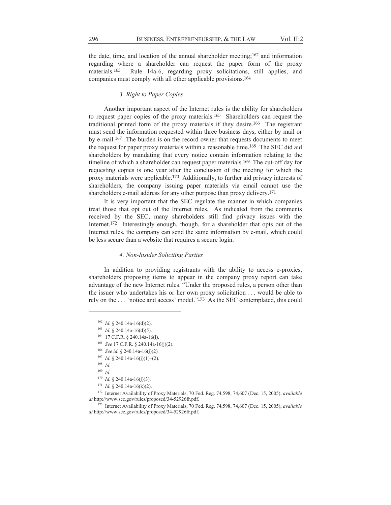the date, time, and location of the annual shareholder meeting;162 and information regarding where a shareholder can request the paper form of the proxy materials.163 Rule 14a-6, regarding proxy solicitations, still applies, and companies must comply with all other applicable provisions.<sup>164</sup>

#### *3. Right to Paper Copies*

Another important aspect of the Internet rules is the ability for shareholders to request paper copies of the proxy materials.165 Shareholders can request the traditional printed form of the proxy materials if they desire.166 The registrant must send the information requested within three business days, either by mail or by e-mail.167 The burden is on the record owner that requests documents to meet the request for paper proxy materials within a reasonable time.168 The SEC did aid shareholders by mandating that every notice contain information relating to the timeline of which a shareholder can request paper materials.169 The cut-off day for requesting copies is one year after the conclusion of the meeting for which the proxy materials were applicable.170 Additionally, to further aid privacy interests of shareholders, the company issuing paper materials via email cannot use the shareholders e-mail address for any other purpose than proxy delivery.<sup>171</sup>

It is very important that the SEC regulate the manner in which companies treat those that opt out of the Internet rules. As indicated from the comments received by the SEC, many shareholders still find privacy issues with the Internet.172 Interestingly enough, though, for a shareholder that opts out of the Internet rules, the company can send the same information by e-mail, which could be less secure than a website that requires a secure login.

#### *4. Non-Insider Soliciting Parties*

In addition to providing registrants with the ability to access e-proxies, shareholders proposing items to appear in the company proxy report can take advantage of the new Internet rules. "Under the proposed rules, a person other than the issuer who undertakes his or her own proxy solicitation . . . would be able to rely on the . . . 'notice and access' model."173 As the SEC contemplated, this could

-

<sup>172</sup> Internet Availability of Proxy Materials, 70 Fed. Reg. 74,598, 74,607 (Dec. 15, 2005), *available at* http://www.sec.gov/rules/proposed/34-52926fr.pdf.

<sup>173</sup> Internet Availability of Proxy Materials, 70 Fed. Reg. 74,598, 74,607 (Dec. 15, 2005), *available at* http://www.sec.gov/rules/proposed/34-52926fr.pdf.

<sup>162</sup> *Id.* § 240.14a-16(d)(2).

<sup>163</sup> *Id.* § 240.14a-16(d)(5).

<sup>164</sup> 17 C.F.R. § 240.14a-16(i).

<sup>165</sup> *See* 17 C.F.R. § 240.14a-16(j)(2).

<sup>166</sup> *See id.* § 240.14a-16(j)(2)*.*

 $167$  *Id.* § 240.14a-16(j)(1)–(2).

<sup>168</sup> *Id.*

<sup>169</sup> *Id.*

<sup>170</sup> *Id.* § 240.14a-16(j)(3).

<sup>171</sup> *Id.* § 240.14a-16(k)(2).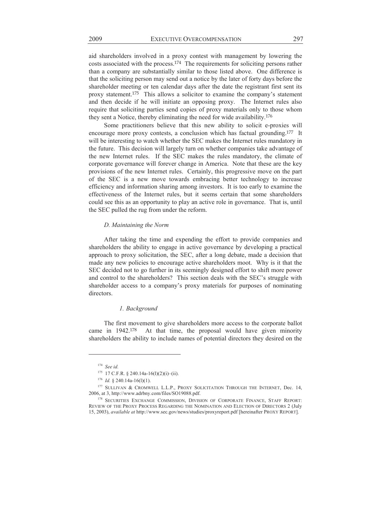aid shareholders involved in a proxy contest with management by lowering the costs associated with the process.174 The requirements for soliciting persons rather than a company are substantially similar to those listed above. One difference is that the soliciting person may send out a notice by the later of forty days before the shareholder meeting or ten calendar days after the date the registrant first sent its proxy statement.175 This allows a solicitor to examine the company's statement and then decide if he will initiate an opposing proxy. The Internet rules also require that soliciting parties send copies of proxy materials only to those whom they sent a Notice, thereby eliminating the need for wide availability.<sup>176</sup>

Some practitioners believe that this new ability to solicit e-proxies will encourage more proxy contests, a conclusion which has factual grounding.<sup>177</sup> It will be interesting to watch whether the SEC makes the Internet rules mandatory in the future. This decision will largely turn on whether companies take advantage of the new Internet rules. If the SEC makes the rules mandatory, the climate of corporate governance will forever change in America. Note that these are the key provisions of the new Internet rules. Certainly, this progressive move on the part of the SEC is a new move towards embracing better technology to increase efficiency and information sharing among investors. It is too early to examine the effectiveness of the Internet rules, but it seems certain that some shareholders could see this as an opportunity to play an active role in governance. That is, until the SEC pulled the rug from under the reform.

#### *D. Maintaining the Norm*

After taking the time and expending the effort to provide companies and shareholders the ability to engage in active governance by developing a practical approach to proxy solicitation, the SEC, after a long debate, made a decision that made any new policies to encourage active shareholders moot. Why is it that the SEC decided not to go further in its seemingly designed effort to shift more power and control to the shareholders? This section deals with the SEC's struggle with shareholder access to a company's proxy materials for purposes of nominating directors.

#### *1. Background*

The first movement to give shareholders more access to the corporate ballot came in 1942.178 At that time, the proposal would have given minority shareholders the ability to include names of potential directors they desired on the

<sup>174</sup> *See id.*

<sup>175</sup> 17 C.F.R. § 240.14a-16(l)(2)(i)–(ii).

<sup>176</sup> *Id.* § 240.14a-16(l)(1).

<sup>&</sup>lt;sup>177</sup> SULLIVAN & CROMWELL L.L.P., PROXY SOLICITATION THROUGH THE INTERNET, Dec. 14, 2006, at 3, http://www.adrbny.com/files/SO19088.pdf.

<sup>&</sup>lt;sup>178</sup> SECURITIES EXCHANGE COMMISSION, DIVISION OF CORPORATE FINANCE, STAFF REPORT: REVIEW OF THE PROXY PROCESS REGARDING THE NOMINATION AND ELECTION OF DIRECTORS 2 (July 15, 2003), *available at* http://www.sec.gov/news/studies/proxyreport.pdf [hereinafter PROXY REPORT].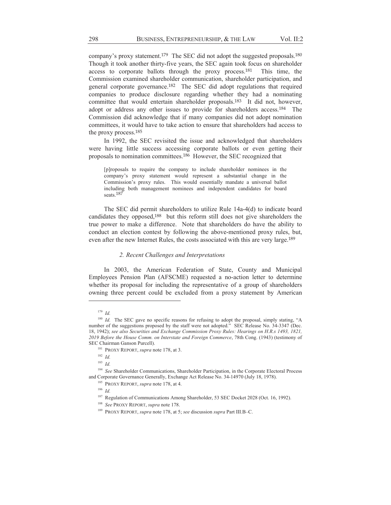company's proxy statement.<sup>179</sup> The SEC did not adopt the suggested proposals.<sup>180</sup> Though it took another thirty-five years, the SEC again took focus on shareholder access to corporate ballots through the proxy process.181 This time, the Commission examined shareholder communication, shareholder participation, and general corporate governance.182 The SEC did adopt regulations that required companies to produce disclosure regarding whether they had a nominating committee that would entertain shareholder proposals.<sup>183</sup> It did not, however, adopt or address any other issues to provide for shareholders access.184 The Commission did acknowledge that if many companies did not adopt nomination committees, it would have to take action to ensure that shareholders had access to the proxy process.<sup>185</sup>

In 1992, the SEC revisited the issue and acknowledged that shareholders were having little success accessing corporate ballots or even getting their proposals to nomination committees.186 However, the SEC recognized that

[p]roposals to require the company to include shareholder nominees in the company's proxy statement would represent a substantial change in the Commission's proxy rules. This would essentially mandate a universal ballot including both management nominees and independent candidates for board seats.<sup>187</sup>

The SEC did permit shareholders to utilize Rule 14a-4(d) to indicate board candidates they opposed,188 but this reform still does not give shareholders the true power to make a difference. Note that shareholders do have the ability to conduct an election contest by following the above-mentioned proxy rules, but, even after the new Internet Rules, the costs associated with this are very large.<sup>189</sup>

#### *2. Recent Challenges and Interpretations*

In 2003, the American Federation of State, County and Municipal Employees Pension Plan (AFSCME) requested a no-action letter to determine whether its proposal for including the representative of a group of shareholders owning three percent could be excluded from a proxy statement by American

<sup>179</sup> *Id.*

<sup>&</sup>lt;sup>180</sup> *Id.* The SEC gave no specific reasons for refusing to adopt the proposal, simply stating, "A number of the suggestions proposed by the staff were not adopted." SEC Release No. 34-3347 (Dec. 18, 1942); *see also Securities and Exchange Commission Proxy Rules: Hearings on H.R.s 1493, 1821, 2019 Before the House Comm. on Interstate and Foreign Commerce*, 78th Cong. (1943) (testimony of SEC Chairman Ganson Purcell).

<sup>181</sup> PROXY REPORT, *supra* note 178, at 3.

<sup>182</sup> *Id.*

<sup>183</sup> *Id.*

<sup>&</sup>lt;sup>184</sup> See Shareholder Communications, Shareholder Participation, in the Corporate Electoral Process and Corporate Governance Generally, Exchange Act Release No. 34-14970 (July 18, 1978).

<sup>185</sup> PROXY REPORT, *supra* note 178, at 4.

<sup>186</sup> *Id.*

<sup>&</sup>lt;sup>187</sup> Regulation of Communications Among Shareholder, 53 SEC Docket 2028 (Oct. 16, 1992).

<sup>188</sup> *See* PROXY REPORT, *supra* note 178.

<sup>189</sup> PROXY REPORT, *supra* note 178, at 5; *see* discussion *supra* Part III.B–C.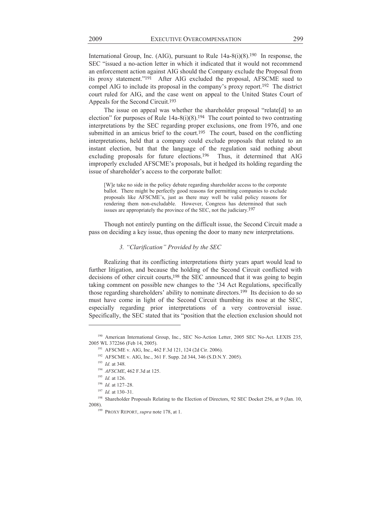International Group, Inc. (AIG), pursuant to Rule 14a-8(i)(8).190 In response, the SEC "issued a no-action letter in which it indicated that it would not recommend an enforcement action against AIG should the Company exclude the Proposal from its proxy statement."191 After AIG excluded the proposal, AFSCME sued to compel AIG to include its proposal in the company's proxy report.192 The district court ruled for AIG, and the case went on appeal to the United States Court of Appeals for the Second Circuit.<sup>193</sup>

The issue on appeal was whether the shareholder proposal "relate[d] to an election" for purposes of Rule  $14a-8(i)(8).194$  The court pointed to two contrasting interpretations by the SEC regarding proper exclusions, one from 1976, and one submitted in an amicus brief to the court.<sup>195</sup> The court, based on the conflicting interpretations, held that a company could exclude proposals that related to an instant election, but that the language of the regulation said nothing about excluding proposals for future elections.196 Thus, it determined that AIG improperly excluded AFSCME's proposals, but it hedged its holding regarding the issue of shareholder's access to the corporate ballot:

[W]e take no side in the policy debate regarding shareholder access to the corporate ballot. There might be perfectly good reasons for permitting companies to exclude proposals like AFSCME's, just as there may well be valid policy reasons for rendering them non-excludable. However, Congress has determined that such issues are appropriately the province of the SEC, not the judiciary.<sup>197</sup>

Though not entirely punting on the difficult issue, the Second Circuit made a pass on deciding a key issue, thus opening the door to many new interpretations.

#### *3. "Clarification" Provided by the SEC*

Realizing that its conflicting interpretations thirty years apart would lead to further litigation, and because the holding of the Second Circuit conflicted with decisions of other circuit courts,198 the SEC announced that it was going to begin taking comment on possible new changes to the '34 Act Regulations, specifically those regarding shareholders' ability to nominate directors.199 Its decision to do so must have come in light of the Second Circuit thumbing its nose at the SEC, especially regarding prior interpretations of a very controversial issue. Specifically, the SEC stated that its "position that the election exclusion should not

<sup>&</sup>lt;sup>190</sup> American International Group, Inc., SEC No-Action Letter, 2005 SEC No-Act. LEXIS 235, 2005 WL 372266 (Feb 14, 2005).

<sup>191</sup> AFSCME v. AIG, Inc., 462 F.3d 121, 124 (2d Cir. 2006).

<sup>192</sup> AFSCME v. AIG, Inc., 361 F. Supp. 2d 344, 346 (S.D.N.Y. 2005).

<sup>193</sup> *Id.* at 348.

<sup>194</sup> *AFSCME*, 462 F.3d at 125.

<sup>195</sup> *Id.* at 126.

<sup>196</sup> *Id.* at 127–28.

<sup>197</sup> *Id.* at 130–31.

<sup>&</sup>lt;sup>198</sup> Shareholder Proposals Relating to the Election of Directors, 92 SEC Docket 256, at 9 (Jan. 10, 2008).

<sup>199</sup> PROXY REPORT, *supra* note 178, at 1.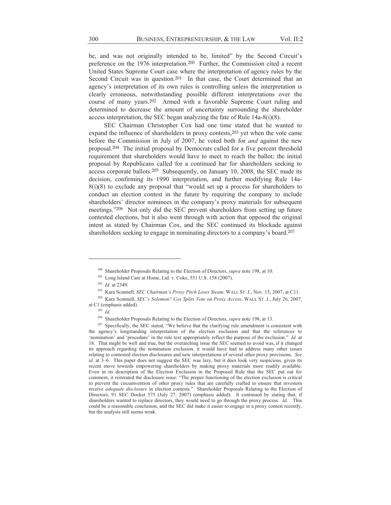be, and was not originally intended to be, limited" by the Second Circuit's preference on the 1976 interpretation.200 Further, the Commission cited a recent United States Supreme Court case where the interpretation of agency rules by the Second Circuit was in question.<sup>201</sup> In that case, the Court determined that an agency's interpretation of its own rules is controlling unless the interpretation is clearly erroneous, notwithstanding possible different interpretations over the course of many years.202 Armed with a favorable Supreme Court ruling and determined to decrease the amount of uncertainty surrounding the shareholder access interpretation, the SEC began analyzing the fate of Rule 14a-8(i)(8).

SEC Chairman Christopher Cox had one time stated that he wanted to expand the influence of shareholders in proxy contests,<sup>203</sup> yet when the vote came before the Commission in July of 2007, he voted both for *and* against the new proposal.204 The initial proposal by Democrats called for a five percent threshold requirement that shareholders would have to meet to reach the ballot; the initial proposal by Republicans called for a continued bar for shareholders seeking to access corporate ballots.205 Subsequently, on January 10, 2008, the SEC made its decision, confirming its 1990 interpretation, and further modifying Rule 14a- $8(i)(8)$  to exclude any proposal that "would set up a process for shareholders to conduct an election contest in the future by requiring the company to include shareholders' director nominees in the company's proxy materials for subsequent meetings."206 Not only did the SEC prevent shareholders from setting up future contested elections, but it also went through with action that opposed the original intent as stated by Chairman Cox, and the SEC continued its blockade against shareholders seeking to engage in nominating directors to a company's board.<sup>207</sup>

<sup>200</sup> Shareholder Proposals Relating to the Election of Directors, *supra* note 198, at 10.

 $^{201}$  Long Island Care at Home, Ltd. v. Coke, 551 U.S. 158 (2007).

<sup>202</sup> *Id.* at 2349.

<sup>203</sup> Kara Scannell, *SEC Chairman's Proxy Pitch Loses Steam*, WALL ST. J., Nov. 15, 2007, at C11.

<sup>204</sup> Kara Scannell, *SEC's Solomon? Cox Splits Vote on Proxy Access*, WALL ST. J., July 26, 2007, at C1 (emphasis added).

<sup>205</sup> *Id.*

<sup>206</sup> Shareholder Proposals Relating to the Election of Directors, *supra* note 198, at 13.

 $207$  Specifically, the SEC stated, "We believe that the clarifying rule amendment is consistent with the agency's longstanding interpretation of the election exclusion and that the references to 'nomination' and 'procedure' in the rule text appropriately reflect the purpose of the exclusion." *Id.* at 18. That might be well and true, but the overarching issue the SEC seemed to avoid was, if it changed its approach regarding the nomination exclusion, it would have had to address many other issues relating to contested election disclosures and new interpretations of several other proxy provisions. *See id.* at 3–6. This paper does not suggest the SEC was lazy, but it does look very suspicious, given its recent move towards empowering shareholders by making proxy materials more readily available. Even in its description of the Election Exclusion in the Proposed Rule that the SEC put out for comment, it reiterated the disclosure issue: "The proper functioning of the election exclusion is critical to prevent the circumvention of other proxy rules that are carefully crafted to ensure that investors receive *adequate disclosure* in election contests." Shareholder Proposals Relating to the Election of Directors, 91 SEC Docket 575 (July 27, 2007) (emphasis added). It continued by stating that, if shareholders wanted to replace directors, they would need to go through the proxy process. *Id.* This could be a reasonable conclusion, and the SEC did make it easier to engage in a proxy contest recently, but the analysis still seems weak.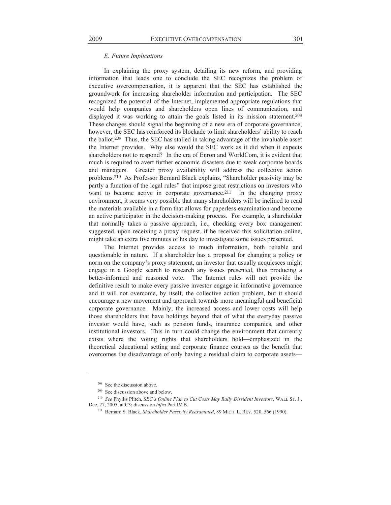#### *E. Future Implications*

In explaining the proxy system, detailing its new reform, and providing information that leads one to conclude the SEC recognizes the problem of executive overcompensation, it is apparent that the SEC has established the groundwork for increasing shareholder information and participation. The SEC recognized the potential of the Internet, implemented appropriate regulations that would help companies and shareholders open lines of communication, and displayed it was working to attain the goals listed in its mission statement.<sup>208</sup> These changes should signal the beginning of a new era of corporate governance; however, the SEC has reinforced its blockade to limit shareholders' ability to reach the ballot.209 Thus, the SEC has stalled in taking advantage of the invaluable asset the Internet provides. Why else would the SEC work as it did when it expects shareholders not to respond? In the era of Enron and WorldCom, it is evident that much is required to avert further economic disasters due to weak corporate boards and managers. Greater proxy availability will address the collective action problems.210 As Professor Bernard Black explains, "Shareholder passivity may be partly a function of the legal rules" that impose great restrictions on investors who want to become active in corporate governance.<sup>211</sup> In the changing proxy environment, it seems very possible that many shareholders will be inclined to read the materials available in a form that allows for paperless examination and become an active participator in the decision-making process. For example, a shareholder that normally takes a passive approach, i.e., checking every box management suggested, upon receiving a proxy request, if he received this solicitation online, might take an extra five minutes of his day to investigate some issues presented.

The Internet provides access to much information, both reliable and questionable in nature. If a shareholder has a proposal for changing a policy or norm on the company's proxy statement, an investor that usually acquiesces might engage in a Google search to research any issues presented, thus producing a better-informed and reasoned vote. The Internet rules will not provide the definitive result to make every passive investor engage in informative governance and it will not overcome, by itself, the collective action problem, but it should encourage a new movement and approach towards more meaningful and beneficial corporate governance. Mainly, the increased access and lower costs will help those shareholders that have holdings beyond that of what the everyday passive investor would have, such as pension funds, insurance companies, and other institutional investors. This in turn could change the environment that currently exists where the voting rights that shareholders hold—emphasized in the theoretical educational setting and corporate finance courses as the benefit that overcomes the disadvantage of only having a residual claim to corporate assets—

<sup>&</sup>lt;sup>208</sup> See the discussion above.

<sup>&</sup>lt;sup>209</sup> See discussion above and below.

<sup>210</sup> *See* Phyllis Plitch, *SEC's Online Plan to Cut Costs May Rally Dissident Investors*, WALL ST. J., Dec. 27, 2005, at C3; discussion *infra* Part IV.B.

<sup>211</sup> Bernard S. Black, *Shareholder Passivity Reexamined*, 89 MICH. L. REV. 520, 566 (1990).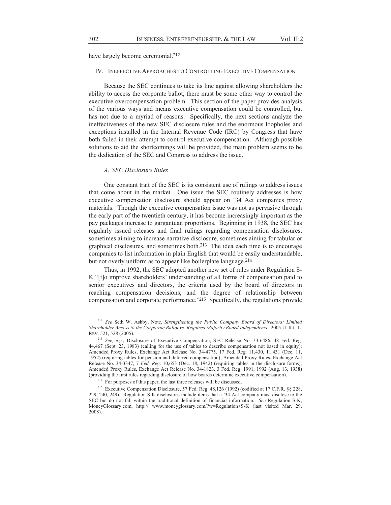have largely become ceremonial.<sup>212</sup>

#### IV. INEFFECTIVE APPROACHES TO CONTROLLING EXECUTIVE COMPENSATION

Because the SEC continues to take its line against allowing shareholders the ability to access the corporate ballot, there must be some other way to control the executive overcompensation problem. This section of the paper provides analysis of the various ways and means executive compensation could be controlled, but has not due to a myriad of reasons. Specifically, the next sections analyze the ineffectiveness of the new SEC disclosure rules and the enormous loopholes and exceptions installed in the Internal Revenue Code (IRC) by Congress that have both failed in their attempt to control executive compensation. Although possible solutions to aid the shortcomings will be provided, the main problem seems to be the dedication of the SEC and Congress to address the issue.

#### *A. SEC Disclosure Rules*

One constant trait of the SEC is its consistent use of rulings to address issues that come about in the market. One issue the SEC routinely addresses is how executive compensation disclosure should appear on '34 Act companies proxy materials. Though the executive compensation issue was not as pervasive through the early part of the twentieth century, it has become increasingly important as the pay packages increase to gargantuan proportions. Beginning in 1938, the SEC has regularly issued releases and final rulings regarding compensation disclosures, sometimes aiming to increase narrative disclosure, sometimes aiming for tabular or graphical disclosures, and sometimes both.213 The idea each time is to encourage companies to list information in plain English that would be easily understandable, but not overly uniform as to appear like boilerplate language.<sup>214</sup>

Thus, in 1992, the SEC adopted another new set of rules under Regulation S-K "[t]o improve shareholders' understanding of all forms of compensation paid to senior executives and directors, the criteria used by the board of directors in reaching compensation decisions, and the degree of relationship between compensation and corporate performance."215 Specifically, the regulations provide

<sup>212</sup> *See* Seth W. Ashby, Note, *Strengthening the Public Company Board of Directors: Limited Shareholder Access to the Corporate Ballot vs. Required Majority Board Independence*, 2005 U. ILL. L. REV. 521, 528 (2005).

<sup>213</sup> *See, e.g.*, Disclosure of Executive Compensation, SEC Release No. 33-6486, 48 Fed. Reg*.* 44,467 (Sept. 23, 1983) (calling for the use of tables to describe compensation not based in equity); Amended Proxy Rules, Exchange Act Release No. 34-4775, 17 Fed. Reg. 11,430, 11,431 (Dec. 11, 1952) (requiring tables for pension and deferred compensation); Amended Proxy Rules, Exchange Act Release No. 34-3347, 7 *Fed. Reg*. 10,653 (Dec. 18, 1942) (requiring tables in the disclosure forms); Amended Proxy Rules, Exchange Act Release No. 34-1823, 3 Fed. Reg. 1991, 1992 (Aug. 13, 1938) (providing the first rules regarding disclosure of how boards determine executive compensation).

<sup>&</sup>lt;sup>214</sup> For purposes of this paper, the last three releases will be discussed.

<sup>&</sup>lt;sup>215</sup> Executive Compensation Disclosure, 57 Fed. Reg. 48,126 (1992) (codified at 17 C.F.R. §§ 228, 229, 240, 249). Regulation S-K disclosures include items that a '34 Act company must disclose to the SEC but do not fall within the traditional definition of financial information. *See* Regulation S-K, MoneyGlossary.com, http:// www.moneyglossary.com/?w=Regulation+S-K (last visited Mar. 29, 2008).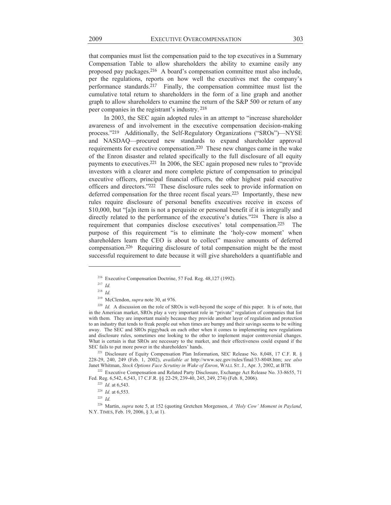that companies must list the compensation paid to the top executives in a Summary Compensation Table to allow shareholders the ability to examine easily any proposed pay packages.216 A board's compensation committee must also include, per the regulations, reports on how well the executives met the company's performance standards.217 Finally, the compensation committee must list the cumulative total return to shareholders in the form of a line graph and another graph to allow shareholders to examine the return of the S&P 500 or return of any peer companies in the registrant's industry. <sup>218</sup>

In 2003, the SEC again adopted rules in an attempt to "increase shareholder awareness of and involvement in the executive compensation decision-making process."219 Additionally, the Self-Regulatory Organizations ("SROs")—NYSE and NASDAQ—procured new standards to expand shareholder approval requirements for executive compensation.220 These new changes came in the wake of the Enron disaster and related specifically to the full disclosure of all equity payments to executives.221 In 2006, the SEC again proposed new rules to "provide investors with a clearer and more complete picture of compensation to principal executive officers, principal financial officers, the other highest paid executive officers and directors."222 These disclosure rules seek to provide information on deferred compensation for the three recent fiscal years.223 Importantly, these new rules require disclosure of personal benefits executives receive in excess of \$10,000, but "[a]n item is not a perquisite or personal benefit if it is integrally and directly related to the performance of the executive's duties."224 There is also a requirement that companies disclose executives' total compensation.225 The purpose of this requirement "is to eliminate the 'holy-cow moment' when shareholders learn the CEO is about to collect" massive amounts of deferred compensation.226 Requiring disclosure of total compensation might be the most successful requirement to date because it will give shareholders a quantifiable and

<sup>216</sup> Executive Compensation Doctrine, 57 Fed. Reg. 48,127 (1992).

<sup>217</sup> *Id.*

<sup>218</sup> *Id.*

<sup>219</sup> McClendon, *supra* note 30, at 976.

<sup>&</sup>lt;sup>220</sup> *Id.* A discussion on the role of SROs is well-beyond the scope of this paper. It is of note, that in the American market, SROs play a very important role in "private" regulation of companies that list with them. They are important mainly because they provide another layer of regulation and protection to an industry that tends to freak people out when times are bumpy and their savings seems to be wilting away. The SEC and SROs piggyback on each other when it comes to implementing new regulations and disclosure rules, sometimes one looking to the other to implement major controversial changes. What is certain is that SROs are necessary to the market, and their effectiveness could expand if the SEC fails to put more power in the shareholders' hands.

<sup>&</sup>lt;sup>221</sup> Disclosure of Equity Compensation Plan Information, SEC Release No. 8,048, 17 C.F. R. § 228-29, 240, 249 (Feb. 1, 2002), *available at* http://www.sec.gov/rules/final/33-8048.htm; *see also* Janet Whitman, *Stock Options Face Scrutiny in Wake of Enron*, WALL ST. J., Apr. 3, 2002, at B7B.

<sup>&</sup>lt;sup>222</sup> Executive Compensation and Related Party Disclosure, Exchange Act Release No. 33-8655, 71 Fed. Reg. 6,542, 6,543, 17 C.F.R. §§ 22-29, 239-40, 245, 249, 274) (Feb. 8, 2006).

<sup>223</sup> *Id.* at 6,543.

<sup>224</sup> *Id.* at 6,553.

<sup>225</sup> *Id.*

<sup>226</sup> Martin, *supra* note 5, at 152 (quoting Gretchen Morgenson, *A 'Holy Cow' Moment in Payland*, N.Y. TIMES, Feb. 19, 2006, § 3, at 1).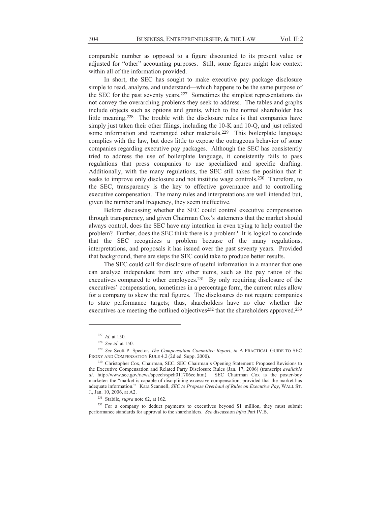comparable number as opposed to a figure discounted to its present value or adjusted for "other" accounting purposes. Still, some figures might lose context within all of the information provided.

In short, the SEC has sought to make executive pay package disclosure simple to read, analyze, and understand—which happens to be the same purpose of the SEC for the past seventy years.227 Sometimes the simplest representations do not convey the overarching problems they seek to address. The tables and graphs include objects such as options and grants, which to the normal shareholder has little meaning.228 The trouble with the disclosure rules is that companies have simply just taken their other filings, including the 10-K and 10-Q, and just relisted some information and rearranged other materials.<sup>229</sup> This boilerplate language complies with the law, but does little to expose the outrageous behavior of some companies regarding executive pay packages. Although the SEC has consistently tried to address the use of boilerplate language, it consistently fails to pass regulations that press companies to use specialized and specific drafting. Additionally, with the many regulations, the SEC still takes the position that it seeks to improve only disclosure and not institute wage controls.230 Therefore, to the SEC, transparency is the key to effective governance and to controlling executive compensation. The many rules and interpretations are well intended but, given the number and frequency, they seem ineffective.

Before discussing whether the SEC could control executive compensation through transparency, and given Chairman Cox's statements that the market should always control, does the SEC have any intention in even trying to help control the problem? Further, does the SEC think there is a problem? It is logical to conclude that the SEC recognizes a problem because of the many regulations, interpretations, and proposals it has issued over the past seventy years. Provided that background, there are steps the SEC could take to produce better results.

The SEC could call for disclosure of useful information in a manner that one can analyze independent from any other items, such as the pay ratios of the executives compared to other employees.231 By only requiring disclosure of the executives' compensation, sometimes in a percentage form, the current rules allow for a company to skew the real figures. The disclosures do not require companies to state performance targets; thus, shareholders have no clue whether the executives are meeting the outlined objectives<sup>232</sup> that the shareholders approved.<sup>233</sup>

<sup>227</sup> *Id.* at 150.

<sup>228</sup> *See id.* at 150.

<sup>229</sup> *See* Scott P. Spector, *The Compensation Committee Report*, *in* A PRACTICAL GUIDE TO SEC PROXY AND COMPENSATION RULE 4.2 (2d ed. Supp. 2000).

<sup>230</sup> Christopher Cox, Chairman, SEC, SEC Chairman's Opening Statement: Proposed Revisions to the Executive Compensation and Related Party Disclosure Rules (Jan. 17, 2006) (transcript *available at*. http://www.sec.gov/news/speech/spch011706cc.htm). SEC Chairman Cox is the poster-boy marketer: the "market is capable of disciplining excessive compensation, provided that the market has adequate information." Kara Scannell, *SEC to Propose Overhaul of Rules on Executive Pay*, WALL ST. J., Jan. 10, 2006, at A2.

<sup>231</sup> Stabile, *supra* note 62, at 162.

<sup>&</sup>lt;sup>232</sup> For a company to deduct payments to executives beyond \$1 million, they must submit performance standards for approval to the shareholders. *See* discussion *infra* Part IV.B.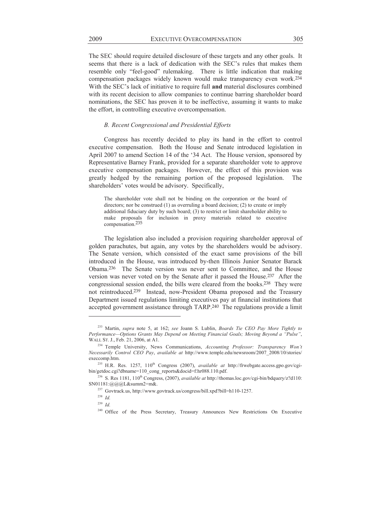The SEC should require detailed disclosure of these targets and any other goals. It seems that there is a lack of dedication with the SEC's rules that makes them resemble only "feel-good" rulemaking. There is little indication that making compensation packages widely known would make transparency even work.<sup>234</sup> With the SEC's lack of initiative to require full **and** material disclosures combined with its recent decision to allow companies to continue barring shareholder board nominations, the SEC has proven it to be ineffective, assuming it wants to make the effort, in controlling executive overcompensation.

#### *B. Recent Congressional and Presidential Efforts*

Congress has recently decided to play its hand in the effort to control executive compensation. Both the House and Senate introduced legislation in April 2007 to amend Section 14 of the '34 Act. The House version, sponsored by Representative Barney Frank, provided for a separate shareholder vote to approve executive compensation packages. However, the effect of this provision was greatly hedged by the remaining portion of the proposed legislation. The shareholders' votes would be advisory. Specifically,

The shareholder vote shall not be binding on the corporation or the board of directors; nor be construed (1) as overruling a board decision; (2) to create or imply additional fiduciary duty by such board; (3) to restrict or limit shareholder ability to make proposals for inclusion in proxy materials related to executive compensation.<sup>235</sup>

The legislation also included a provision requiring shareholder approval of golden parachutes, but again, any votes by the shareholders would be advisory. The Senate version, which consisted of the exact same provisions of the bill introduced in the House, was introduced by-then Illinois Junior Senator Barack Obama.236 The Senate version was never sent to Committee, and the House version was never voted on by the Senate after it passed the House.237 After the congressional session ended, the bills were cleared from the books.238 They were not reintroduced.239 Instead, now-President Obama proposed and the Treasury Department issued regulations limiting executives pay at financial institutions that accepted government assistance through TARP.240 The regulations provide a limit

<sup>233</sup> Martin, *supra* note 5, at 162; *see* Joann S. Lublin, *Boards Tie CEO Pay More Tightly to Performance—Options Grants May Depend on Meeting Financial Goals; Moving Beyond a "Pulse"*, WALL ST. J., Feb. 21, 2006, at A1.

<sup>234</sup> Temple University, News Communications, *Accounting Professor: Transparency Won't Necessarily Control CEO Pay*, *available at* http://www.temple.edu/newsroom/2007\_2008/10/stories/ execcomp.htm.

<sup>&</sup>lt;sup>235</sup> H.R. Res. 1257, 110<sup>th</sup> Congress (2007), *available at* http://frwebgate.access.gpo.gov/cgibin/getdoc.cgi?dbname=110\_cong\_reports&docid=f:hr088.110.pdf.

<sup>&</sup>lt;sup>236</sup> S. Res 1181, 110<sup>th</sup> Congress, (2007), *available at* http://thomas.loc.gov/cgi-bin/bdquery/z?d110: SN01181:@@@L&summ2=m&.

<sup>&</sup>lt;sup>237</sup> Govtrack.us, http://www.govtrack.us/congress/bill.xpd?bill=h110-1257.

<sup>238</sup> *Id.*

<sup>239</sup> *Id.*

<sup>&</sup>lt;sup>240</sup> Office of the Press Secretary, Treasury Announces New Restrictions On Executive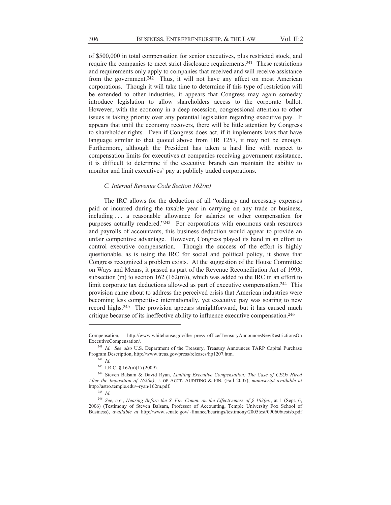of \$500,000 in total compensation for senior executives, plus restricted stock, and require the companies to meet strict disclosure requirements.241 These restrictions and requirements only apply to companies that received and will receive assistance from the government.242 Thus, it will not have any affect on most American corporations. Though it will take time to determine if this type of restriction will be extended to other industries, it appears that Congress may again someday introduce legislation to allow shareholders access to the corporate ballot. However, with the economy in a deep recession, congressional attention to other issues is taking priority over any potential legislation regarding executive pay. It appears that until the economy recovers, there will be little attention by Congress to shareholder rights. Even if Congress does act, if it implements laws that have language similar to that quoted above from HR 1257, it may not be enough. Furthermore, although the President has taken a hard line with respect to compensation limits for executives at companies receiving government assistance, it is difficult to determine if the executive branch can maintain the ability to monitor and limit executives' pay at publicly traded corporations.

## *C. Internal Revenue Code Section 162(m)*

The IRC allows for the deduction of all "ordinary and necessary expenses paid or incurred during the taxable year in carrying on any trade or business, including . . . a reasonable allowance for salaries or other compensation for purposes actually rendered."243 For corporations with enormous cash resources and payrolls of accountants, this business deduction would appear to provide an unfair competitive advantage. However, Congress played its hand in an effort to control executive compensation. Though the success of the effort is highly questionable, as is using the IRC for social and political policy, it shows that Congress recognized a problem exists. At the suggestion of the House Committee on Ways and Means, it passed as part of the Revenue Reconciliation Act of 1993, subsection (m) to section 162 (162(m)), which was added to the IRC in an effort to limit corporate tax deductions allowed as part of executive compensation.244 This provision came about to address the perceived crisis that American industries were becoming less competitive internationally, yet executive pay was soaring to new record highs.245 The provision appears straightforward, but it has caused much critique because of its ineffective ability to influence executive compensation.<sup>246</sup>

Compensation, http://www.whitehouse.gov/the\_press\_office/TreasuryAnnouncesNewRestrictionsOn ExecutiveCompensation/.

<sup>241</sup> *Id. See also* U.S. Department of the Treasury, Treasury Announces TARP Capital Purchase Program Description, http://www.treas.gov/press/releases/hp1207.htm.

 $242$  *Id.* 

<sup>243</sup> I.R.C. § 162(a)(1) (2009).

<sup>244</sup> Steven Balsam & David Ryan, *Limiting Executive Compensation: The Case of CEOs Hired After the Imposition of 162(m)*, J. OF ACCT. AUDITING & FIN. (Fall 2007), *manuscript available at*  http://astro.temple.edu/~ryan/162m.pdf.

<sup>245</sup> *Id.*

<sup>246</sup> *See, e.g.*, *Hearing Before the S. Fin. Comm. on the Effectiveness of § 162(m)*, at 1 (Sept. 6, 2006) (Testimony of Steven Balsam, Professor of Accounting, Temple University Fox School of Business), *available at* http://www.senate.gov/~finance/hearings/testimony/2005test/090606testsb.pdf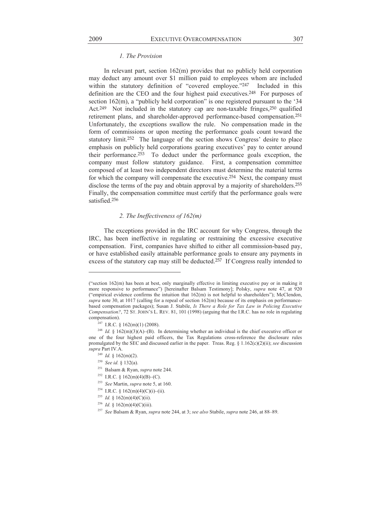# *1. The Provision*

In relevant part, section 162(m) provides that no publicly held corporation may deduct any amount over \$1 million paid to employees whom are included within the statutory definition of "covered employee."<sup>247</sup> Included in this definition are the CEO and the four highest paid executives.248 For purposes of section 162(m), a "publicly held corporation" is one registered pursuant to the '34 Act.249 Not included in the statutory cap are non-taxable fringes,250 qualified retirement plans, and shareholder-approved performance-based compensation.<sup>251</sup> Unfortunately, the exceptions swallow the rule. No compensation made in the form of commissions or upon meeting the performance goals count toward the statutory limit.252 The language of the section shows Congress' desire to place emphasis on publicly held corporations gearing executives' pay to center around their performance.253 To deduct under the performance goals exception, the company must follow statutory guidance. First, a compensation committee composed of at least two independent directors must determine the material terms for which the company will compensate the executive. <sup>254</sup> Next, the company must disclose the terms of the pay and obtain approval by a majority of shareholders.<sup>255</sup> Finally, the compensation committee must certify that the performance goals were satisfied.<sup>256</sup>

#### *2. The Ineffectiveness of 162(m)*

The exceptions provided in the IRC account for why Congress, through the IRC, has been ineffective in regulating or restraining the excessive executive compensation. First, companies have shifted to either all commission-based pay, or have established easily attainable performance goals to ensure any payments in excess of the statutory cap may still be deducted.257 If Congress really intended to

- <sup>252</sup> I.R.C. § 162(m)(4)(B)–(C).
- <sup>253</sup> *See* Martin, *supra* note 5, at 160.
- <sup>254</sup> I.R.C. § 162(m)(4)(C)(i)–(ii).
- <sup>255</sup> *Id.* § 162(m)(4)(C)(ii).
- <sup>256</sup> *Id.* § 162(m)(4)(C)(iii).
- <sup>257</sup> *See* Balsam & Ryan, *supra* note 244, at 3; *see also* Stabile, *supra* note 246, at 88–89.

<sup>(&</sup>quot;section  $162(m)$  has been at best, only marginally effective in limiting executive pay or in making it more responsive to performance") [hereinafter Balsam Testimony]; Polsky, *supra* note 47, at 920 ("empirical evidence confirms the intuition that  $162(m)$  is not helpful to shareholders"); McClendon, *supra* note 30, at 1017 (calling for a repeal of section 162(m) because of its emphasis on performancebased compensation packages); Susan J. Stabile, *Is There a Role for Tax Law in Policing Executive Compensation?*, 72 ST. JOHN'S L. REV. 81, 101 (1998) (arguing that the I.R.C. has no role in regulating compensation).

 $247$  I.R.C. § 162(m)(1) (2008).

<sup>&</sup>lt;sup>248</sup> *Id.* § 162(m)(3)(A)–(B). In determining whether an individual is the chief executive officer or one of the four highest paid officers, the Tax Regulations cross-reference the disclosure rules promulgated by the SEC and discussed earlier in the paper. Treas. Reg. § 1.162(c)(2)(ii); *see* discussion *supra* Part IV.A.

<sup>249</sup> *Id.* § 162(m)(2).

<sup>250</sup> *See id.* § 132(a).

<sup>251</sup> Balsam & Ryan, *supra* note 244.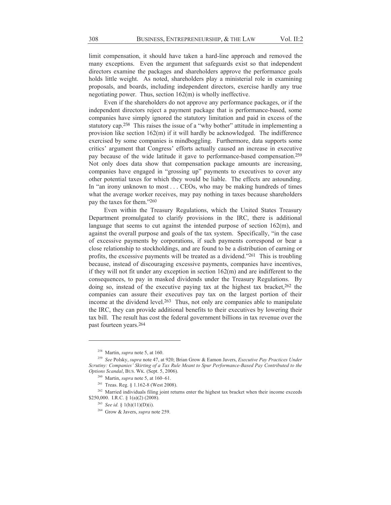limit compensation, it should have taken a hard-line approach and removed the many exceptions. Even the argument that safeguards exist so that independent directors examine the packages and shareholders approve the performance goals holds little weight. As noted, shareholders play a ministerial role in examining proposals, and boards, including independent directors, exercise hardly any true negotiating power. Thus, section 162(m) is wholly ineffective.

Even if the shareholders do not approve any performance packages, or if the independent directors reject a payment package that is performance-based, some companies have simply ignored the statutory limitation and paid in excess of the statutory cap.<sup>258</sup> This raises the issue of a "why bother" attitude in implementing a provision like section 162(m) if it will hardly be acknowledged. The indifference exercised by some companies is mindboggling. Furthermore, data supports some critics' argument that Congress' efforts actually caused an increase in executive pay because of the wide latitude it gave to performance-based compensation.<sup>259</sup> Not only does data show that compensation package amounts are increasing, companies have engaged in "grossing up" payments to executives to cover any other potential taxes for which they would be liable. The effects are astounding. In "an irony unknown to most . . . CEOs, who may be making hundreds of times what the average worker receives, may pay nothing in taxes because shareholders pay the taxes for them."<sup>260</sup>

Even within the Treasury Regulations, which the United States Treasury Department promulgated to clarify provisions in the IRC, there is additional language that seems to cut against the intended purpose of section  $162(m)$ , and against the overall purpose and goals of the tax system. Specifically, "in the case of excessive payments by corporations, if such payments correspond or bear a close relationship to stockholdings, and are found to be a distribution of earning or profits, the excessive payments will be treated as a dividend."261 This is troubling because, instead of discouraging excessive payments, companies have incentives, if they will not fit under any exception in section  $162(m)$  and are indifferent to the consequences, to pay in masked dividends under the Treasury Regulations. By doing so, instead of the executive paying tax at the highest tax bracket,<sup>262</sup> the companies can assure their executives pay tax on the largest portion of their income at the dividend level.263 Thus, not only are companies able to manipulate the IRC, they can provide additional benefits to their executives by lowering their tax bill. The result has cost the federal government billions in tax revenue over the past fourteen years.<sup>264</sup>

<sup>258</sup> Martin, *supra* note 5, at 160.

<sup>259</sup> *See* Polsky, *supra* note 47, at 920; Brian Grow & Eamon Javers, *Executive Pay Practices Under Scrutiny: Companies' Skirting of a Tax Rule Meant to Spur Performance-Based Pay Contributed to the Options Scandal*, BUS. WK. (Sept. 5, 2006).

<sup>260</sup> Martin, *supra* note 5, at 160–61.

<sup>261</sup> Treas. Reg. § 1.162-8 (West 2008).

<sup>&</sup>lt;sup>262</sup> Married individuals filing joint returns enter the highest tax bracket when their income exceeds \$250,000. I.R.C. § 1(a)(2) (2008).

<sup>263</sup> *See id.* § 1(h)(11)(D)(i).

<sup>264</sup> Grow & Javers, *supra* note 259.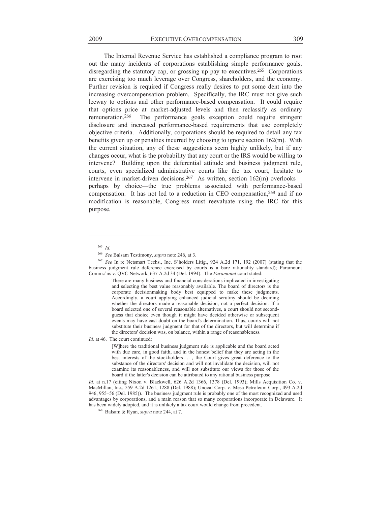The Internal Revenue Service has established a compliance program to root out the many incidents of corporations establishing simple performance goals, disregarding the statutory cap, or grossing up pay to executives.<sup>265</sup> Corporations are exercising too much leverage over Congress, shareholders, and the economy. Further revision is required if Congress really desires to put some dent into the increasing overcompensation problem. Specifically, the IRC must not give such leeway to options and other performance-based compensation. It could require that options price at market-adjusted levels and then reclassify as ordinary remuneration.266 The performance goals exception could require stringent disclosure and increased performance-based requirements that use completely objective criteria. Additionally, corporations should be required to detail any tax benefits given up or penalties incurred by choosing to ignore section 162(m). With the current situation, any of these suggestions seem highly unlikely, but if any changes occur, what is the probability that any court or the IRS would be willing to intervene? Building upon the deferential attitude and business judgment rule, courts, even specialized administrative courts like the tax court, hesitate to intervene in market-driven decisions.267 As written, section 162(m) overlooks perhaps by choice—the true problems associated with performance-based compensation. It has not led to a reduction in CEO compensation,268 and if no modification is reasonable, Congress must reevaluate using the IRC for this purpose.

-

There are many business and financial considerations implicated in investigating and selecting the best value reasonably available. The board of directors is the corporate decisionmaking body best equipped to make these judgments. Accordingly, a court applying enhanced judicial scrutiny should be deciding whether the directors made a reasonable decision, not a perfect decision. If a board selected one of several reasonable alternatives, a court should not secondguess that choice even though it might have decided otherwise or subsequent events may have cast doubt on the board's determination. Thus, courts will not substitute their business judgment for that of the directors, but will determine if the directors' decision was, on balance, within a range of reasonableness.

*Id.* at 46. The court continued:

[W]here the traditional business judgment rule is applicable and the board acted with due care, in good faith, and in the honest belief that they are acting in the best interests of the stockholders . . . , the Court gives great deference to the substance of the directors' decision and will not invalidate the decision, will not examine its reasonableness, and will not substitute our views for those of the board if the latter's decision can be attributed to any rational business purpose.

*Id.* at n.17 (citing Nixon v. Blackwell, 626 A.2d 1366, 1378 (Del. 1993); Mills Acquisition Co. v. MacMillan, Inc., 559 A.2d 1261, 1288 (Del. 1988); Unocal Corp. v. Mesa Petroleum Corp., 493 A.2d 946, 955–56 (Del. 1985)). The business judgment rule is probably one of the most recognized and used advantages by corporations, and a main reason that so many corporations incorporate in Delaware. It has been widely adopted, and it is unlikely a tax court would change from precedent.

<sup>265</sup> *Id.*

<sup>266</sup> *See* Balsam Testimony, *supra* note 246, at 3.

<sup>267</sup> *See* In re Netsmart Techs., Inc. S'holders Litig., 924 A.2d 171, 192 (2007) (stating that the business judgment rule deference exercised by courts is a bare rationality standard); Paramount Commc'ns v. QVC Network, 637 A.2d 34 (Del. 1994). The *Paramount* court stated:

<sup>268</sup> Balsam & Ryan, *supra* note 244, at 7.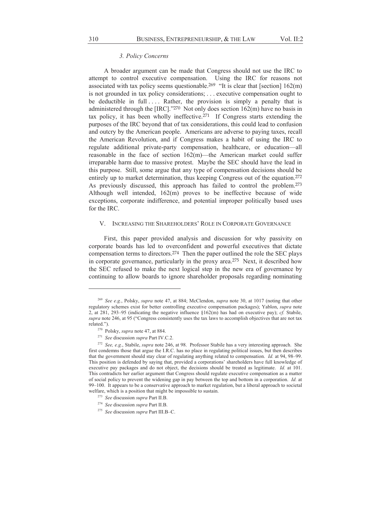## *3. Policy Concerns*

A broader argument can be made that Congress should not use the IRC to attempt to control executive compensation. Using the IRC for reasons not associated with tax policy seems questionable.<sup>269</sup> "It is clear that [section]  $162(m)$ is not grounded in tax policy considerations; . . . executive compensation ought to be deductible in full  $\dots$ . Rather, the provision is simply a penalty that is administered through the [IRC]."270 Not only does section 162(m) have no basis in tax policy, it has been wholly ineffective.271 If Congress starts extending the purposes of the IRC beyond that of tax considerations, this could lead to confusion and outcry by the American people. Americans are adverse to paying taxes, recall the American Revolution, and if Congress makes a habit of using the IRC to regulate additional private-party compensation, healthcare, or education—all reasonable in the face of section  $162(m)$ —the American market could suffer irreparable harm due to massive protest. Maybe the SEC should have the lead in this purpose. Still, some argue that any type of compensation decisions should be entirely up to market determination, thus keeping Congress out of the equation.<sup>272</sup> As previously discussed, this approach has failed to control the problem.<sup>273</sup> Although well intended, 162(m) proves to be ineffective because of wide exceptions, corporate indifference, and potential improper politically based uses for the IRC.

#### V. INCREASING THE SHAREHOLDERS' ROLE IN CORPORATE GOVERNANCE

First, this paper provided analysis and discussion for why passivity on corporate boards has led to overconfident and powerful executives that dictate compensation terms to directors.274 Then the paper outlined the role the SEC plays in corporate governance, particularly in the proxy area.275 Next, it described how the SEC refused to make the next logical step in the new era of governance by continuing to allow boards to ignore shareholder proposals regarding nominating

<sup>269</sup> *See e.g.*, Polsky, *supra* note 47, at 884; McClendon, *supra* note 30, at 1017 (noting that other regulatory schemes exist for better controlling executive compensation packages); Yablon, *supra* note 2, at 281, 293–95 (indicating the negative influence §162(m) has had on executive pay); *cf.* Stabile, *supra* note 246, at 95 ("Congress consistently uses the tax laws to accomplish objectives that are not tax related.").

<sup>270</sup> Polsky, *supra* note 47, at 884.

<sup>271</sup> *See* discussion *supra* Part IV.C.2.

<sup>272</sup> *See, e.g.*, Stabile, *supra* note 246, at 98. Professor Stabile has a very interesting approach. She first condemns those that argue the I.R.C. has no place in regulating political issues, but then describes that the government should stay clear of regulating anything related to compensation. *Id.* at 94, 98–99. This position is defended by saying that, provided a corporations' shareholders have full knowledge of executive pay packages and do not object, the decisions should be treated as legitimate. *Id.* at 101. This contradicts her earlier argument that Congress should regulate executive compensation as a matter of social policy to prevent the widening gap in pay between the top and bottom in a corporation. *Id.* at 99–100. It appears to be a conservative approach to market regulation, but a liberal approach to societal welfare, which is a position that might be impossible to sustain.

<sup>273</sup> *See* discussion *supra* Part II.B.

<sup>274</sup> *See* discussion *supra* Part II.B.

<sup>275</sup> *See* discussion *supra* Part III.B–C.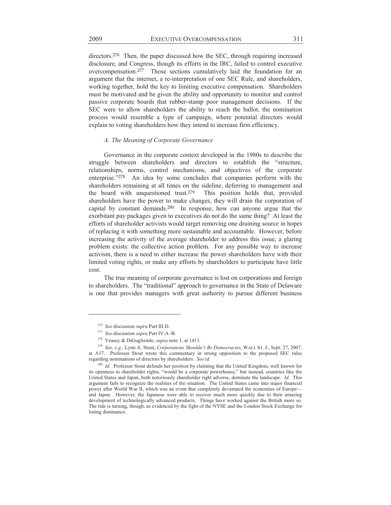directors.276 Then, the paper discussed how the SEC, through requiring increased disclosure, and Congress, though its efforts in the IRC, failed to control executive overcompensation.277 Those sections cumulatively laid the foundation for an argument that the internet, a re-interpretation of one SEC Rule, and shareholders, working together, hold the key to limiting executive compensation. Shareholders must be motivated and be given the ability and opportunity to monitor and control passive corporate boards that rubber-stamp poor management decisions. If the SEC were to allow shareholders the ability to reach the ballot, the nomination process would resemble a type of campaign, where potential directors would explain to voting shareholders how they intend to increase firm efficiency.

### *A. The Meaning of Corporate Governance*

Governance in the corporate context developed in the 1980s to describe the struggle between shareholders and directors to establish the "structure, relationships, norms, control mechanisms, and objectives of the corporate enterprise."278 An idea by some concludes that companies perform with the shareholders remaining at all times on the sideline, deferring to management and the board with unquestioned trust.279 This position holds that, provided shareholders have the power to make changes, they will drain the corporation of capital by constant demands.280 In response, how can anyone argue that the exorbitant pay packages given to executives do not do the same thing? At least the efforts of shareholder activists would target removing one draining source in hopes of replacing it with something more sustainable and accountable. However, before increasing the activity of the average shareholder to address this issue, a glaring problem exists: the collective action problem. For any possible way to increase activism, there is a need to either increase the power shareholders have with their limited voting rights, or make any efforts by shareholders to participate have little cost.

The true meaning of corporate governance is lost on corporations and foreign to shareholders. The "traditional" approach to governance in the State of Delaware is one that provides managers with great authority to pursue different business

<sup>276</sup> *See* discussion *supra* Part III.D.

<sup>277</sup> *See* discussion *supra* Part IV.A–B.

<sup>278</sup> Veasey & DiGugliemlo, *supra* note 1, at 1411.

<sup>279</sup> *See, e.g.*, Lynn A. Stout, *Corporations Shouldn't Be Democracies*, WALL ST. J., Sept. 27, 2007, at A17. Professor Stout wrote this commentary in strong opposition to the proposed SEC rules regarding nominations of directors by shareholders. *See id.*

<sup>&</sup>lt;sup>280</sup> *Id.* Professor Stout defends her position by claiming that the United Kingdom, well known for its openness to shareholder rights, "would be a corporate powerhouse," but instead, countries like the United States and Japan, both notoriously shareholder right adverse, dominate the landscape. *Id.* This argument fails to recognize the realities of the situation. The United States came into major financial power after World War II, which was an event that completely devastated the economies of Europe and Japan. However, the Japanese were able to recover much more quickly due to their amazing development of technologically advanced products. Things have worked against the British more so. The tide is turning, though, as evidenced by the fight of the NYSE and the London Stock Exchange for listing dominance.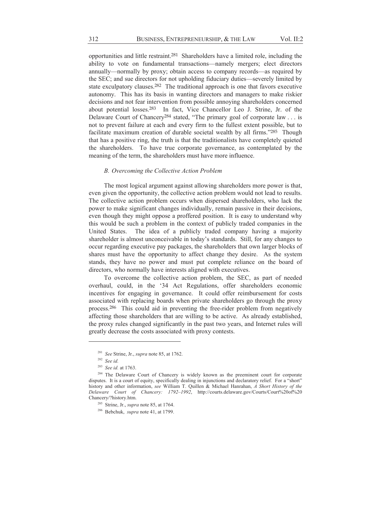opportunities and little restraint.281 Shareholders have a limited role, including the ability to vote on fundamental transactions—namely mergers; elect directors annually—normally by proxy; obtain access to company records—as required by the SEC; and sue directors for not upholding fiduciary duties—severely limited by state exculpatory clauses.282 The traditional approach is one that favors executive autonomy. This has its basis in wanting directors and managers to make riskier decisions and not fear intervention from possible annoying shareholders concerned about potential losses.283 In fact, Vice Chancellor Leo J. Strine, Jr. of the Delaware Court of Chancery<sup>284</sup> stated, "The primary goal of corporate law . . . is not to prevent failure at each and every firm to the fullest extent possible, but to facilitate maximum creation of durable societal wealth by all firms."285 Though that has a positive ring, the truth is that the traditionalists have completely quieted the shareholders. To have true corporate governance, as contemplated by the meaning of the term, the shareholders must have more influence.

#### *B. Overcoming the Collective Action Problem*

The most logical argument against allowing shareholders more power is that, even given the opportunity, the collective action problem would not lead to results. The collective action problem occurs when dispersed shareholders, who lack the power to make significant changes individually, remain passive in their decisions, even though they might oppose a proffered position. It is easy to understand why this would be such a problem in the context of publicly traded companies in the United States. The idea of a publicly traded company having a majority shareholder is almost unconceivable in today's standards. Still, for any changes to occur regarding executive pay packages, the shareholders that own larger blocks of shares must have the opportunity to affect change they desire. As the system stands, they have no power and must put complete reliance on the board of directors, who normally have interests aligned with executives.

To overcome the collective action problem, the SEC, as part of needed overhaul, could, in the '34 Act Regulations, offer shareholders economic incentives for engaging in governance. It could offer reimbursement for costs associated with replacing boards when private shareholders go through the proxy process.286 This could aid in preventing the free-rider problem from negatively affecting those shareholders that are willing to be active. As already established, the proxy rules changed significantly in the past two years, and Internet rules will greatly decrease the costs associated with proxy contests.

<sup>281</sup> *See* Strine, Jr., *supra* note 85, at 1762.

<sup>282</sup> *See id.*

<sup>283</sup> *See id.* at 1763.

<sup>&</sup>lt;sup>284</sup> The Delaware Court of Chancery is widely known as the preeminent court for corporate disputes. It is a court of equity, specifically dealing in injunctions and declaratory relief. For a "short" history and other information, *see* William T. Quillen & Michael Hanrahan, *A Short History of the Delaware Court of Chancery: 1792–1992*, http://courts.delaware.gov/Courts/Court%20of%20 Chancery/?history.htm.

<sup>285</sup> Strine, Jr., *supra* note 85, at 1764.

<sup>286</sup> Bebchuk, *supra* note 41, at 1799.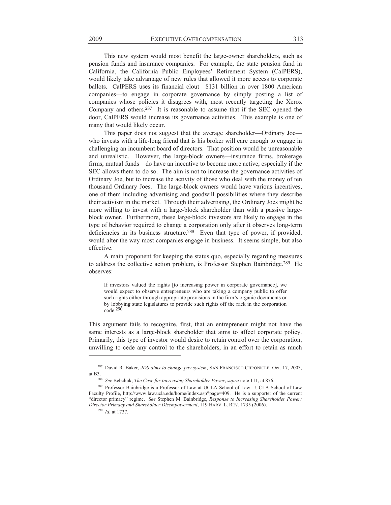This new system would most benefit the large-owner shareholders, such as pension funds and insurance companies. For example, the state pension fund in California, the California Public Employees' Retirement System (CalPERS), would likely take advantage of new rules that allowed it more access to corporate ballots. CalPERS uses its financial clout—\$131 billion in over 1800 American companies—to engage in corporate governance by simply posting a list of companies whose policies it disagrees with, most recently targeting the Xerox Company and others.287 It is reasonable to assume that if the SEC opened the door, CalPERS would increase its governance activities. This example is one of many that would likely occur.

This paper does not suggest that the average shareholder—Ordinary Joe who invests with a life-long friend that is his broker will care enough to engage in challenging an incumbent board of directors. That position would be unreasonable and unrealistic. However, the large-block owners—insurance firms, brokerage firms, mutual funds—do have an incentive to become more active, especially if the SEC allows them to do so. The aim is not to increase the governance activities of Ordinary Joe, but to increase the activity of those who deal with the money of ten thousand Ordinary Joes. The large-block owners would have various incentives, one of them including advertising and goodwill possibilities where they describe their activism in the market. Through their advertising, the Ordinary Joes might be more willing to invest with a large-block shareholder than with a passive largeblock owner. Furthermore, these large-block investors are likely to engage in the type of behavior required to change a corporation only after it observes long-term deficiencies in its business structure.<sup>288</sup> Even that type of power, if provided, would alter the way most companies engage in business. It seems simple, but also effective.

A main proponent for keeping the status quo, especially regarding measures to address the collective action problem, is Professor Stephen Bainbridge.289 He observes:

If investors valued the rights [to increasing power in corporate governance], we would expect to observe entrepreneurs who are taking a company public to offer such rights either through appropriate provisions in the firm's organic documents or by lobbying state legislatures to provide such rights off the rack in the corporation  $code.^{290}$ 

This argument fails to recognize, first, that an entrepreneur might not have the same interests as a large-block shareholder that aims to affect corporate policy. Primarily, this type of investor would desire to retain control over the corporation, unwilling to cede any control to the shareholders, in an effort to retain as much

<sup>287</sup> David R. Baker, *JDS aims to change pay system*, SAN FRANCISCO CHRONICLE, Oct. 17, 2003, at B3.

<sup>288</sup> *See* Bebchuk, *The Case for Increasing Shareholder Power*, *supra* note 111, at 876.

<sup>&</sup>lt;sup>289</sup> Professor Bainbridge is a Professor of Law at UCLA School of Law. UCLA School of Law Faculty Profile, http://www.law.ucla.edu/home/index.asp?page=409. He is a supporter of the current "director primacy" regime. *See* Stephen M. Bainbridge, *Response to Increasing Shareholder Power: Director Primacy and Shareholder Disempowerment*, 119 HARV. L. REV. 1735 (2006).

<sup>290</sup> *Id.* at 1737.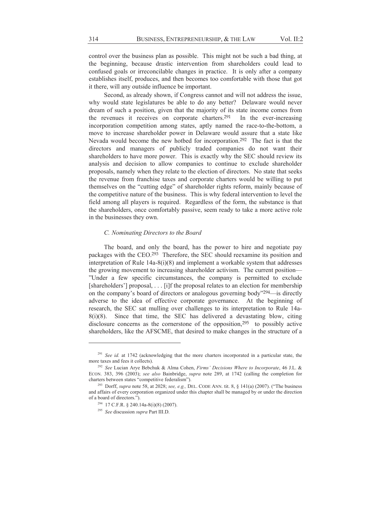control over the business plan as possible. This might not be such a bad thing, at the beginning, because drastic intervention from shareholders could lead to confused goals or irreconcilable changes in practice. It is only after a company establishes itself, produces, and then becomes too comfortable with those that got it there, will any outside influence be important.

Second, as already shown, if Congress cannot and will not address the issue, why would state legislatures be able to do any better? Delaware would never dream of such a position, given that the majority of its state income comes from the revenues it receives on corporate charters.291 In the ever-increasing incorporation competition among states, aptly named the race-to-the-bottom, a move to increase shareholder power in Delaware would assure that a state like Nevada would become the new hotbed for incorporation.292 The fact is that the directors and managers of publicly traded companies do not want their shareholders to have more power. This is exactly why the SEC should review its analysis and decision to allow companies to continue to exclude shareholder proposals, namely when they relate to the election of directors. No state that seeks the revenue from franchise taxes and corporate charters would be willing to put themselves on the "cutting edge" of shareholder rights reform, mainly because of the competitive nature of the business. This is why federal intervention to level the field among all players is required. Regardless of the form, the substance is that the shareholders, once comfortably passive, seem ready to take a more active role in the businesses they own.

#### *C. Nominating Directors to the Board*

The board, and only the board, has the power to hire and negotiate pay packages with the CEO.293 Therefore, the SEC should reexamine its position and interpretation of Rule 14a-8(i)(8) and implement a workable system that addresses the growing movement to increasing shareholder activism. The current position— "Under a few specific circumstances, the company is permitted to exclude [shareholders'] proposal, . . . [i]f the proposal relates to an election for membership on the company's board of directors or analogous governing body"294—is directly adverse to the idea of effective corporate governance. At the beginning of research, the SEC sat mulling over challenges to its interpretation to Rule 14a-8(i)(8). Since that time, the SEC has delivered a devastating blow, citing disclosure concerns as the cornerstone of the opposition,295 to possibly active shareholders, like the AFSCME, that desired to make changes in the structure of a

<sup>291</sup> *See id.* at 1742 (acknowledging that the more charters incorporated in a particular state, the more taxes and fees it collects).

<sup>292</sup> *See* Lucian Arye Bebchuk & Alma Cohen, *Firms' Decisions Where to Incorporate*, 46 J.L. & ECON. 383, 396 (2003); *see also* Bainbridge, *supra* note 289, at 1742 (calling the completion for charters between states "competitive federalism").

<sup>293</sup> Dorff, *supra* note 58, at 2028; *see, e.g.,* DEL. CODE ANN. tit. 8, § 141(a) (2007). ("The business and affairs of every corporation organized under this chapter shall be managed by or under the direction of a board of directors.").

 $294$  17 C.F.R. § 240.14a-8(i)(8) (2007).

<sup>295</sup> *See* discussion *supra* Part III.D.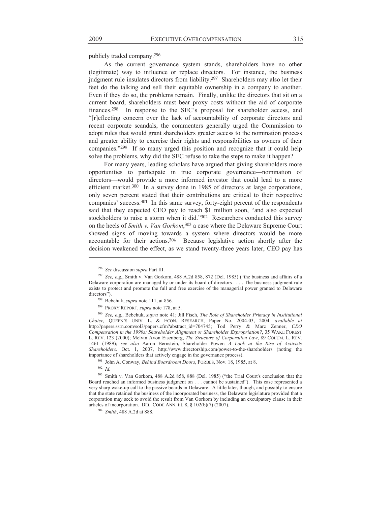publicly traded company.<sup>296</sup>

As the current governance system stands, shareholders have no other (legitimate) way to influence or replace directors. For instance, the business judgment rule insulates directors from liability.297 Shareholders may also let their feet do the talking and sell their equitable ownership in a company to another. Even if they do so, the problems remain. Finally, unlike the directors that sit on a current board, shareholders must bear proxy costs without the aid of corporate finances.298 In response to the SEC's proposal for shareholder access, and "[r]eflecting concern over the lack of accountability of corporate directors and recent corporate scandals, the commenters generally urged the Commission to adopt rules that would grant shareholders greater access to the nomination process and greater ability to exercise their rights and responsibilities as owners of their companies."299 If so many urged this position and recognize that it could help solve the problems, why did the SEC refuse to take the steps to make it happen?

For many years, leading scholars have argued that giving shareholders more opportunities to participate in true corporate governance—nomination of directors—would provide a more informed investor that could lead to a more efficient market.<sup>300</sup> In a survey done in 1985 of directors at large corporations, only seven percent stated that their contributions are critical to their respective companies' success.301 In this same survey, forty-eight percent of the respondents said that they expected CEO pay to reach \$1 million soon, "and also expected stockholders to raise a storm when it did."302 Researchers conducted this survey on the heels of *Smith v. Van Gorkom*, <sup>303</sup> a case where the Delaware Supreme Court showed signs of moving towards a system where directors would be more accountable for their actions.304 Because legislative action shortly after the decision weakened the effect, as we stand twenty-three years later, CEO pay has

<sup>296</sup> *See* discussion *supra* Part III.

<sup>297</sup> *See, e.g.*, Smith v. Van Gorkom, 488 A.2d 858, 872 (Del. 1985) ("the business and affairs of a Delaware corporation are managed by or under its board of directors . . . . The business judgment rule exists to protect and promote the full and free exercise of the managerial power granted to Delaware directors").

<sup>298</sup> Bebchuk, *supra* note 111, at 856.

<sup>299</sup> PROXY REPORT, *supra* note 178, at 5.

<sup>300</sup> *See, e.g.*, Bebchuk, *supra* note 41; Jill Fisch, *The Role of Shareholder Primacy in Institutional Choice,* QUEEN'S UNIV. L. & ECON. RESEARCH, Paper No. 2004-03, 2004, *available at* http://papers.ssrn.com/sol3/papers.cfm?abstract\_id=704745; Tod Perry & Marc Zenner, *CEO Compensation in the 1990s: Shareholder Alignment or Shareholder Expropriation?*, 35 WAKE FOREST L. REV. 123 (2000); Melvin Avon Eisenberg, *The Structure of Corporation Law*, 89 COLUM. L. REV. 1461 (1989); *see also* Aaron Bernstein, Shareholder Power: *A Look at the Rise of Activists Shareholders,* Oct. 1, 2007, http://www.directorship.com/power-to-the-shareholders (noting the importance of shareholders that actively engage in the governance process).

<sup>301</sup> John A. Conway, *Behind Boardroom Doors*, FORBES, Nov. 18, 1985, at 8.

<sup>302</sup> *Id.*

<sup>303</sup> Smith v. Van Gorkom, 488 A.2d 858, 888 (Del. 1985) ("the Trial Court's conclusion that the Board reached an informed business judgment on . . . cannot be sustained"). This case represented a very sharp wake-up call to the passive boards in Delaware. A little later, though, and possibly to ensure that the state retained the business of the incorporated business, the Delaware legislature provided that a corporation may seek to avoid the result from Van Gorkom by including an exculpatory clause in their articles of incorporation. DEL. CODE ANN. tit. 8, § 102(b)(7) (2007).

<sup>304</sup> *Smith*, 488 A.2d at 888.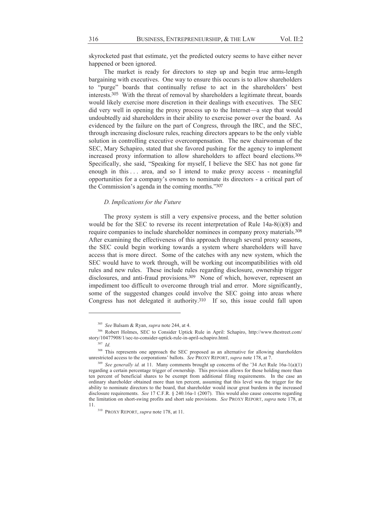skyrocketed past that estimate, yet the predicted outcry seems to have either never happened or been ignored.

The market is ready for directors to step up and begin true arms-length bargaining with executives. One way to ensure this occurs is to allow shareholders to "purge" boards that continually refuse to act in the shareholders' best interests.305 With the threat of removal by shareholders a legitimate threat, boards would likely exercise more discretion in their dealings with executives. The SEC did very well in opening the proxy process up to the Internet—a step that would undoubtedly aid shareholders in their ability to exercise power over the board. As evidenced by the failure on the part of Congress, through the IRC, and the SEC, through increasing disclosure rules, reaching directors appears to be the only viable solution in controlling executive overcompensation. The new chairwoman of the SEC, Mary Schapiro, stated that she favored pushing for the agency to implement increased proxy information to allow shareholders to affect board elections.<sup>306</sup> Specifically, she said, "Speaking for myself, I believe the SEC has not gone far enough in this . . . area, and so I intend to make proxy access - meaningful opportunities for a company's owners to nominate its directors - a critical part of the Commission's agenda in the coming months."<sup>307</sup>

#### *D. Implications for the Future*

The proxy system is still a very expensive process, and the better solution would be for the SEC to reverse its recent interpretation of Rule 14a-8(i)(8) and require companies to include shareholder nominees in company proxy materials.<sup>308</sup> After examining the effectiveness of this approach through several proxy seasons, the SEC could begin working towards a system where shareholders will have access that is more direct. Some of the catches with any new system, which the SEC would have to work through, will be working out incompatibilities with old rules and new rules. These include rules regarding disclosure, ownership trigger disclosures, and anti-fraud provisions.309 None of which, however, represent an impediment too difficult to overcome through trial and error. More significantly, some of the suggested changes could involve the SEC going into areas where Congress has not delegated it authority.310 If so, this issue could fall upon

<sup>305</sup> *See* Balsam & Ryan, *supra* note 244, at 4.

<sup>306</sup> Robert Holmes, SEC to Consider Uptick Rule in April: Schapiro, http://www.thestreet.com/ story/10477908/1/sec-to-consider-uptick-rule-in-april-schapiro.html.

<sup>307</sup> *Id.*

<sup>&</sup>lt;sup>308</sup> This represents one approach the SEC proposed as an alternative for allowing shareholders unrestricted access to the corporations' ballots. *See* PROXY REPORT, *supra* note 178, at 7.

<sup>&</sup>lt;sup>309</sup> See generally id. at 11. Many comments brought up concerns of the '34 Act Rule 16a-1(a)(1) regarding a certain percentage trigger of ownership. This provision allows for those holding more than ten percent of beneficial shares to be exempt from additional filing requirements. In the case an ordinary shareholder obtained more than ten percent, assuming that this level was the trigger for the ability to nominate directors to the board, that shareholder would incur great burdens in the increased disclosure requirements. *See* 17 C.F.R. § 240.16a-1 (2007). This would also cause concerns regarding the limitation on short-swing profits and short sale provisions. *See* PROXY REPORT, *supra* note 178, at 11.

<sup>310</sup> PROXY REPORT, *supra* note 178, at 11.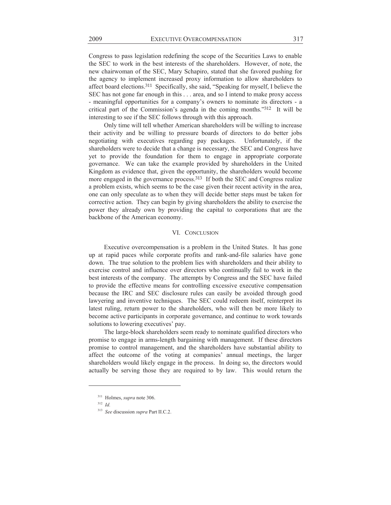Congress to pass legislation redefining the scope of the Securities Laws to enable the SEC to work in the best interests of the shareholders. However, of note, the new chairwoman of the SEC, Mary Schapiro, stated that she favored pushing for the agency to implement increased proxy information to allow shareholders to affect board elections.311 Specifically, she said, "Speaking for myself, I believe the SEC has not gone far enough in this . . . area, and so I intend to make proxy access - meaningful opportunities for a company's owners to nominate its directors - a critical part of the Commission's agenda in the coming months."312 It will be interesting to see if the SEC follows through with this approach.

Only time will tell whether American shareholders will be willing to increase their activity and be willing to pressure boards of directors to do better jobs negotiating with executives regarding pay packages. Unfortunately, if the shareholders were to decide that a change is necessary, the SEC and Congress have yet to provide the foundation for them to engage in appropriate corporate governance. We can take the example provided by shareholders in the United Kingdom as evidence that, given the opportunity, the shareholders would become more engaged in the governance process.<sup>313</sup> If both the SEC and Congress realize a problem exists, which seems to be the case given their recent activity in the area, one can only speculate as to when they will decide better steps must be taken for corrective action. They can begin by giving shareholders the ability to exercise the power they already own by providing the capital to corporations that are the backbone of the American economy.

#### VI. CONCLUSION

Executive overcompensation is a problem in the United States. It has gone up at rapid paces while corporate profits and rank-and-file salaries have gone down. The true solution to the problem lies with shareholders and their ability to exercise control and influence over directors who continually fail to work in the best interests of the company. The attempts by Congress and the SEC have failed to provide the effective means for controlling excessive executive compensation because the IRC and SEC disclosure rules can easily be avoided through good lawyering and inventive techniques. The SEC could redeem itself, reinterpret its latest ruling, return power to the shareholders, who will then be more likely to become active participants in corporate governance, and continue to work towards solutions to lowering executives' pay.

The large-block shareholders seem ready to nominate qualified directors who promise to engage in arms-length bargaining with management. If these directors promise to control management, and the shareholders have substantial ability to affect the outcome of the voting at companies' annual meetings, the larger shareholders would likely engage in the process. In doing so, the directors would actually be serving those they are required to by law. This would return the

<sup>311</sup> Holmes, *supra* note 306.

<sup>312</sup> *Id.*

<sup>313</sup> *See* discussion *supra* Part II.C.2.